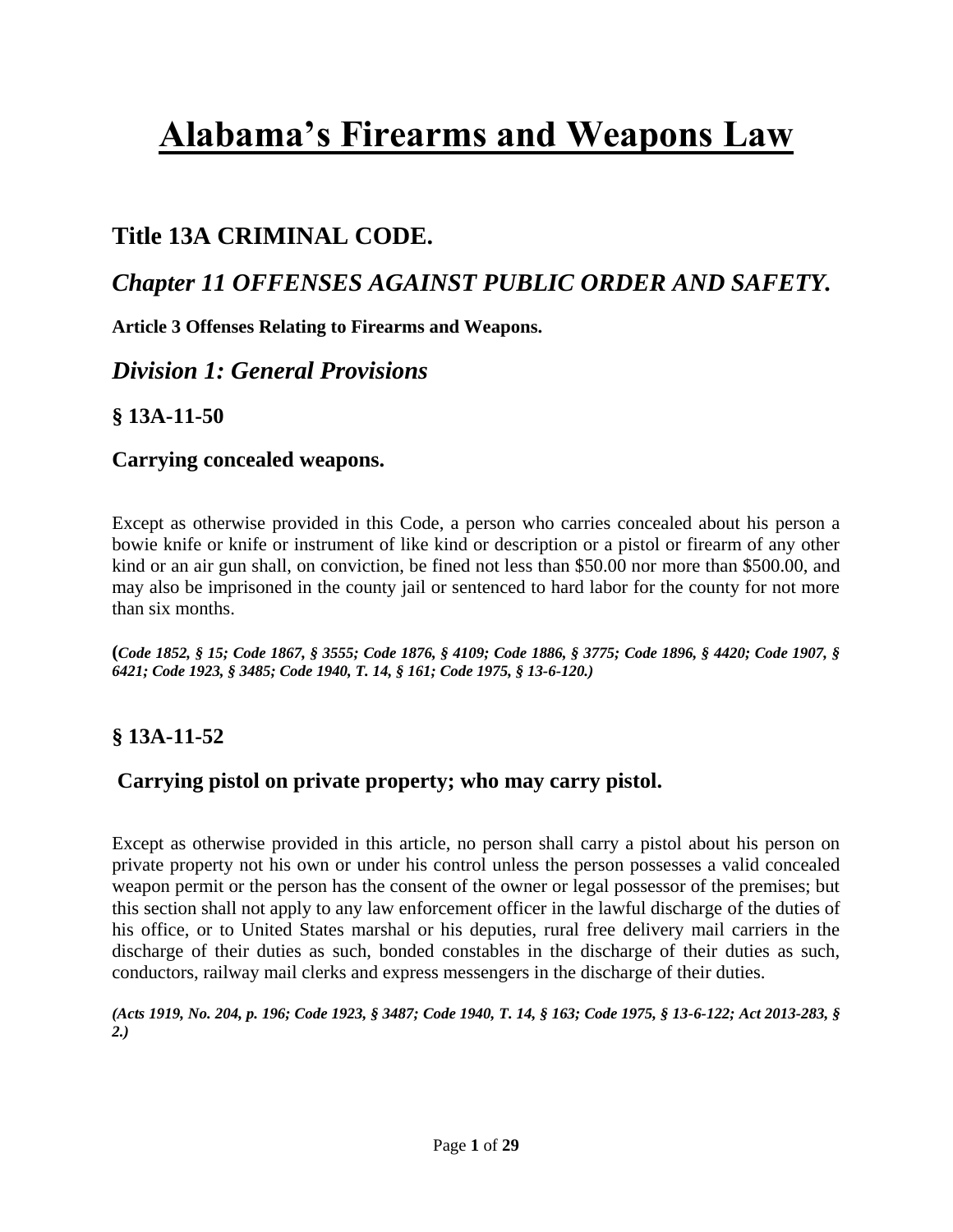## **Title 13A CRIMINAL CODE.**

## *Chapter 11 OFFENSES AGAINST PUBLIC ORDER AND SAFETY.*

**Article 3 Offenses Relating to Firearms and Weapons.** 

## *Division 1: General Provisions*

## **§ 13A-11-50**

### **Carrying concealed weapons.**

Except as otherwise provided in this Code, a person who carries concealed about his person a bowie knife or knife or instrument of like kind or description or a pistol or firearm of any other kind or an air gun shall, on conviction, be fined not less than \$50.00 nor more than \$500.00, and may also be imprisoned in the county jail or sentenced to hard labor for the county for not more than six months.

**(***Code 1852, § 15; Code 1867, § 3555; Code 1876, § 4109; Code 1886, § 3775; Code 1896, § 4420; Code 1907, § 6421; Code 1923, § 3485; Code 1940, T. 14, § 161; Code 1975, § 13-6-120.)*

## **§ 13A-11-52**

## **Carrying pistol on private property; who may carry pistol.**

Except as otherwise provided in this article, no person shall carry a pistol about his person on private property not his own or under his control unless the person possesses a valid concealed weapon permit or the person has the consent of the owner or legal possessor of the premises; but this section shall not apply to any law enforcement officer in the lawful discharge of the duties of his office, or to United States marshal or his deputies, rural free delivery mail carriers in the discharge of their duties as such, bonded constables in the discharge of their duties as such, conductors, railway mail clerks and express messengers in the discharge of their duties.

*(Acts 1919, No. 204, p. 196; Code 1923, § 3487; Code 1940, T. 14, § 163; Code 1975, § 13-6-122; [Act 2013-283, §](http://web2.westlaw.com/find/default.wl?mt=Alabama&db=1077005&rs=WLW13.10&docname=UUID(IEC7F5F00C9-3B11E2A8D28-BF312CA3A38)&rp=%2ffind%2fdefault.wl&findtype=l&ordoc=9205639&tc=-1&vr=2.0&fn=_top&sv=Split&tf=-1&pbc=64ED8C8C&utid=1)  [2.\)](http://web2.westlaw.com/find/default.wl?mt=Alabama&db=1077005&rs=WLW13.10&docname=UUID(IEC7F5F00C9-3B11E2A8D28-BF312CA3A38)&rp=%2ffind%2fdefault.wl&findtype=l&ordoc=9205639&tc=-1&vr=2.0&fn=_top&sv=Split&tf=-1&pbc=64ED8C8C&utid=1)*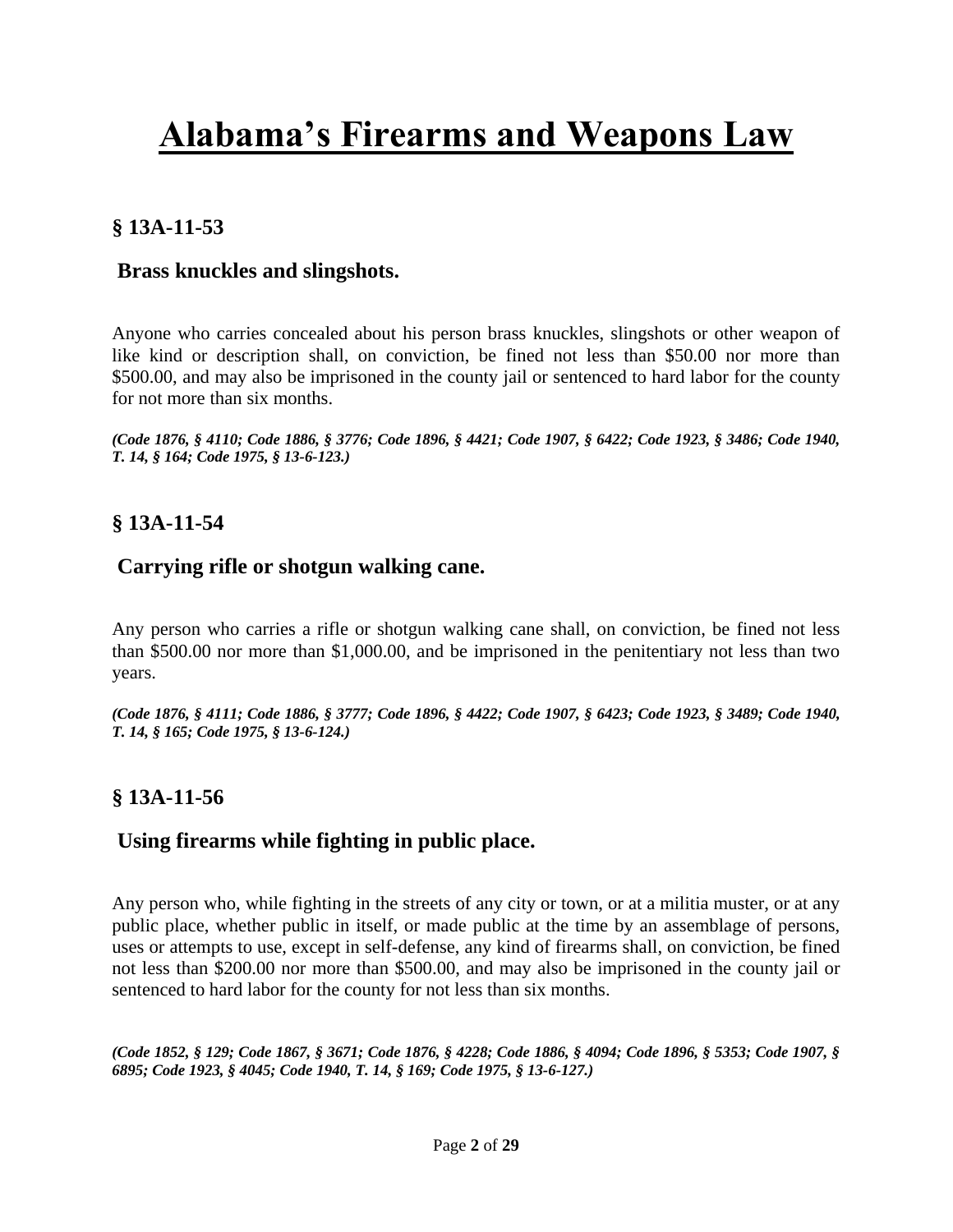## **§ 13A-11-53**

#### **Brass knuckles and slingshots.**

Anyone who carries concealed about his person brass knuckles, slingshots or other weapon of like kind or description shall, on conviction, be fined not less than \$50.00 nor more than \$500.00, and may also be imprisoned in the county jail or sentenced to hard labor for the county for not more than six months.

*(Code 1876, § 4110; Code 1886, § 3776; Code 1896, § 4421; Code 1907, § 6422; Code 1923, § 3486; Code 1940, T. 14, § 164; Code 1975, § 13-6-123.)*

### **§ 13A-11-54**

### **Carrying rifle or shotgun walking cane.**

Any person who carries a rifle or shotgun walking cane shall, on conviction, be fined not less than \$500.00 nor more than \$1,000.00, and be imprisoned in the penitentiary not less than two years.

*(Code 1876, § 4111; Code 1886, § 3777; Code 1896, § 4422; Code 1907, § 6423; Code 1923, § 3489; Code 1940, T. 14, § 165; Code 1975, § 13-6-124.)*

### **§ 13A-11-56**

### **Using firearms while fighting in public place.**

Any person who, while fighting in the streets of any city or town, or at a militia muster, or at any public place, whether public in itself, or made public at the time by an assemblage of persons, uses or attempts to use, except in self-defense, any kind of firearms shall, on conviction, be fined not less than \$200.00 nor more than \$500.00, and may also be imprisoned in the county jail or sentenced to hard labor for the county for not less than six months.

*(Code 1852, § 129; Code 1867, § 3671; Code 1876, § 4228; Code 1886, § 4094; Code 1896, § 5353; Code 1907, § 6895; Code 1923, § 4045; Code 1940, T. 14, § 169; Code 1975, § 13-6-127.)*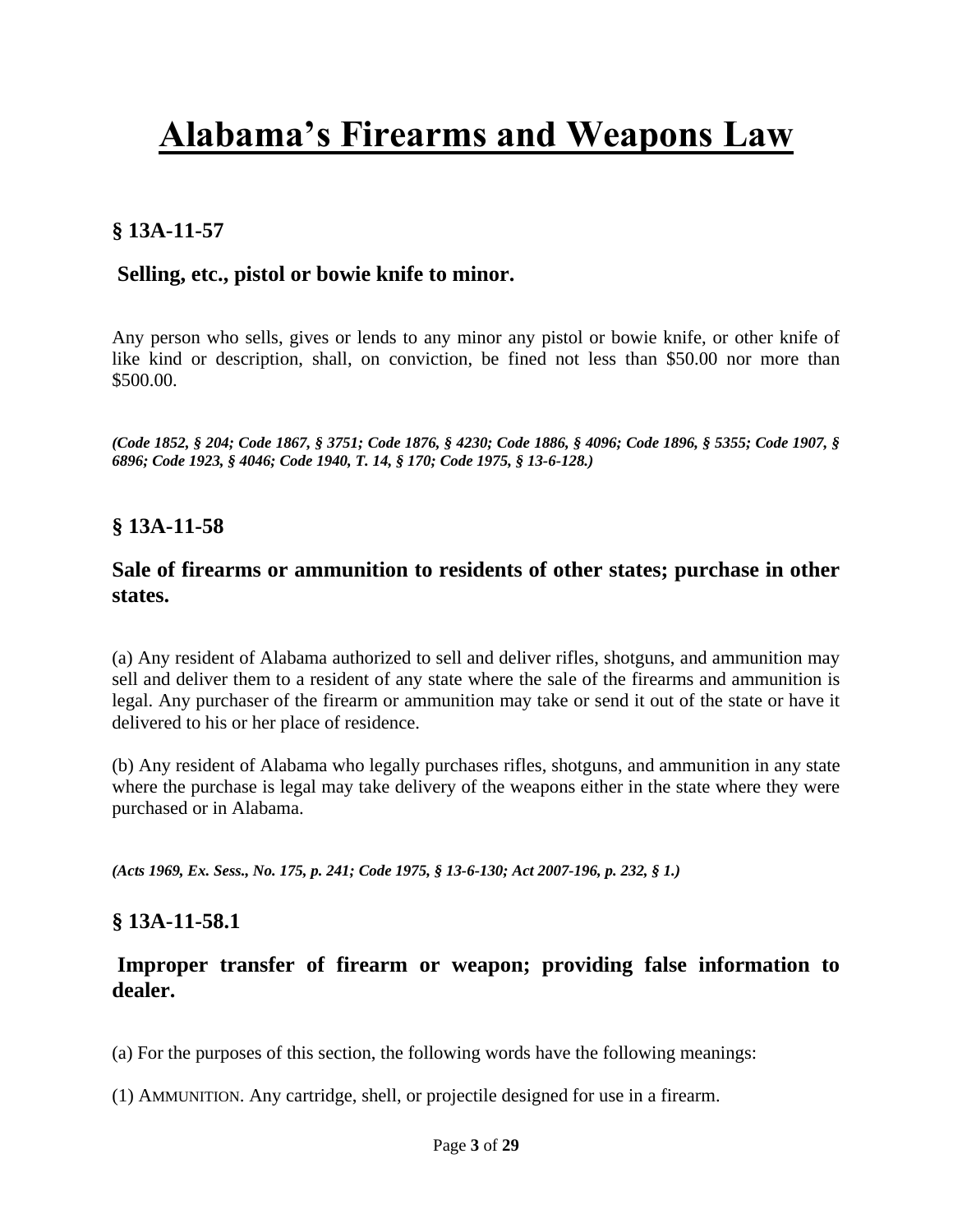## **§ 13A-11-57**

#### **Selling, etc., pistol or bowie knife to minor.**

Any person who sells, gives or lends to any minor any pistol or bowie knife, or other knife of like kind or description, shall, on conviction, be fined not less than \$50.00 nor more than \$500.00.

*(Code 1852, § 204; Code 1867, § 3751; Code 1876, § 4230; Code 1886, § 4096; Code 1896, § 5355; Code 1907, § 6896; Code 1923, § 4046; Code 1940, T. 14, § 170; Code 1975, § 13-6-128.)*

### **§ 13A-11-58**

#### **Sale of firearms or ammunition to residents of other states; purchase in other states.**

(a) Any resident of Alabama authorized to sell and deliver rifles, shotguns, and ammunition may sell and deliver them to a resident of any state where the sale of the firearms and ammunition is legal. Any purchaser of the firearm or ammunition may take or send it out of the state or have it delivered to his or her place of residence.

(b) Any resident of Alabama who legally purchases rifles, shotguns, and ammunition in any state where the purchase is legal may take delivery of the weapons either in the state where they were purchased or in Alabama.

*(Acts 1969, Ex. Sess., No. 175, p. 241; Code 1975, § 13-6-130; [Act 2007-196, p. 232, § 1.\)](http://web2.westlaw.com/find/default.wl?mt=Alabama&db=1077005&rs=WLW13.10&docname=UUID(I0564ED7010-5411DC8554E-A5201DEAAD3)&rp=%2ffind%2fdefault.wl&findtype=l&ordoc=9205645&tc=-1&vr=2.0&fn=_top&sv=Split&tf=-1&pbc=0A0E438B&utid=1)*

#### **§ 13A-11-58.1**

### **Improper transfer of firearm or weapon; providing false information to dealer.**

(a) For the purposes of this section, the following words have the following meanings:

(1) AMMUNITION. Any cartridge, shell, or projectile designed for use in a firearm.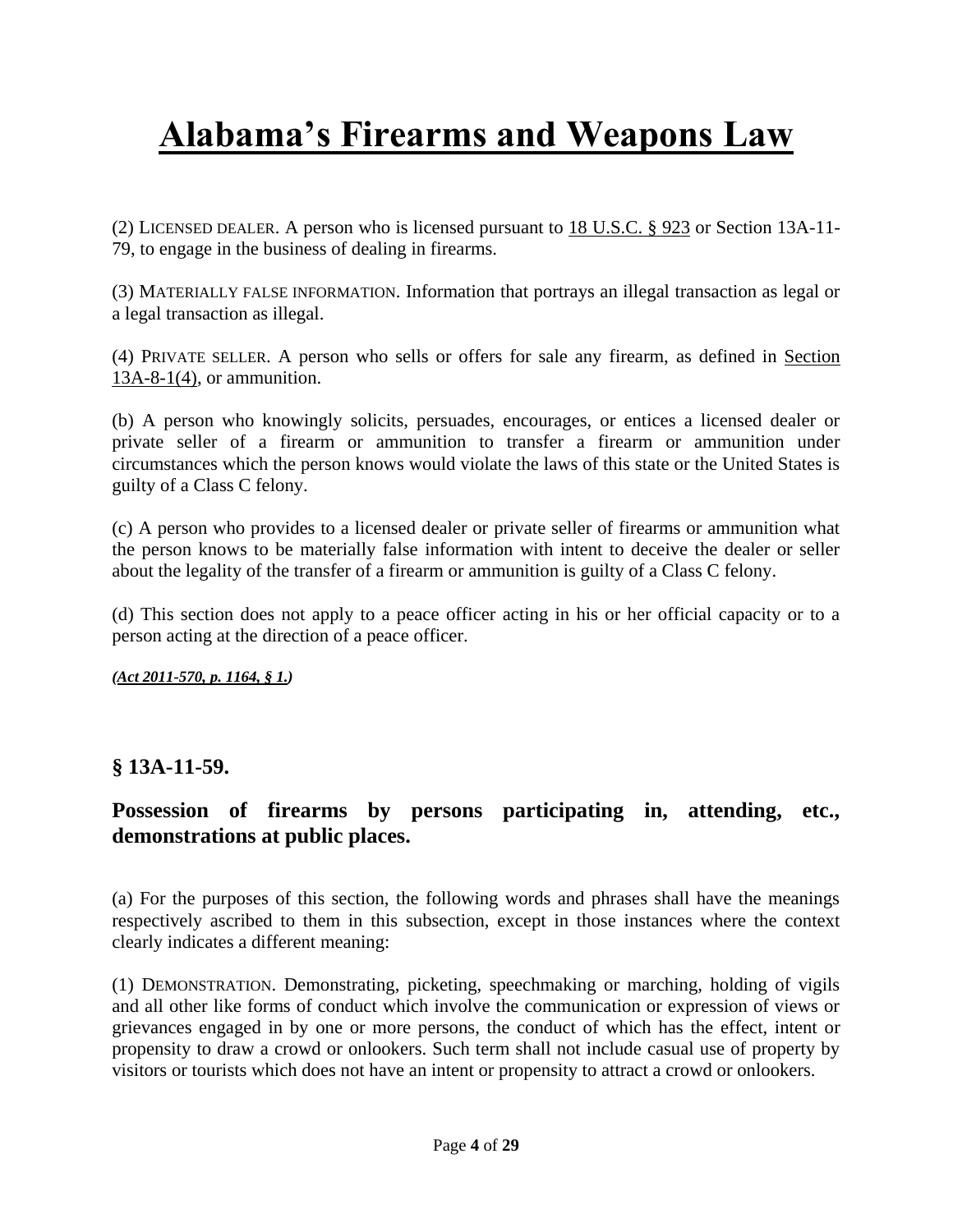(2) LICENSED DEALER. A person who is licensed pursuant to [18 U.S.C. § 923](http://web2.westlaw.com/find/default.wl?mt=Alabama&db=1000546&rs=WLW13.10&docname=18USCAS923&rp=%2ffind%2fdefault.wl&findtype=L&ordoc=992843719&tc=-1&vr=2.0&fn=_top&sv=Split&tf=-1&pbc=EAFBD78E&utid=1) or Section 13A-11- 79, to engage in the business of dealing in firearms.

(3) MATERIALLY FALSE INFORMATION. Information that portrays an illegal transaction as legal or a legal transaction as illegal.

(4) PRIVATE SELLER. A person who sells or offers for sale any firearm, as defined in [Section](http://web2.westlaw.com/find/default.wl?mt=Alabama&db=1000002&rs=WLW13.10&docname=ALSTS13A-8-1&rp=%2ffind%2fdefault.wl&findtype=L&ordoc=992843719&tc=-1&vr=2.0&fn=_top&sv=Split&tf=-1&referencepositiontype=T&pbc=EAFBD78E&referenceposition=SP%3b0bd500007a412&utid=1)  [13A-8-1\(4\),](http://web2.westlaw.com/find/default.wl?mt=Alabama&db=1000002&rs=WLW13.10&docname=ALSTS13A-8-1&rp=%2ffind%2fdefault.wl&findtype=L&ordoc=992843719&tc=-1&vr=2.0&fn=_top&sv=Split&tf=-1&referencepositiontype=T&pbc=EAFBD78E&referenceposition=SP%3b0bd500007a412&utid=1) or ammunition.

(b) A person who knowingly solicits, persuades, encourages, or entices a licensed dealer or private seller of a firearm or ammunition to transfer a firearm or ammunition under circumstances which the person knows would violate the laws of this state or the United States is guilty of a Class C felony.

(c) A person who provides to a licensed dealer or private seller of firearms or ammunition what the person knows to be materially false information with intent to deceive the dealer or seller about the legality of the transfer of a firearm or ammunition is guilty of a Class C felony.

(d) This section does not apply to a peace officer acting in his or her official capacity or to a person acting at the direction of a peace officer.

*(Act [2011-570, p. 1164, § 1.\)](http://web2.westlaw.com/find/default.wl?mt=Alabama&db=1077005&rs=WLW13.10&docname=UUID(IEFE8D7D0A2-8111E09C69B-5FF480FE65F)&rp=%2ffind%2fdefault.wl&findtype=l&ordoc=992843719&tc=-1&vr=2.0&fn=_top&sv=Split&tf=-1&pbc=EAFBD78E&utid=1)*

#### **§ 13A-11-59.**

## **Possession of firearms by persons participating in, attending, etc., demonstrations at public places.**

(a) For the purposes of this section, the following words and phrases shall have the meanings respectively ascribed to them in this subsection, except in those instances where the context clearly indicates a different meaning:

(1) DEMONSTRATION. Demonstrating, picketing, speechmaking or marching, holding of vigils and all other like forms of conduct which involve the communication or expression of views or grievances engaged in by one or more persons, the conduct of which has the effect, intent or propensity to draw a crowd or onlookers. Such term shall not include casual use of property by visitors or tourists which does not have an intent or propensity to attract a crowd or onlookers.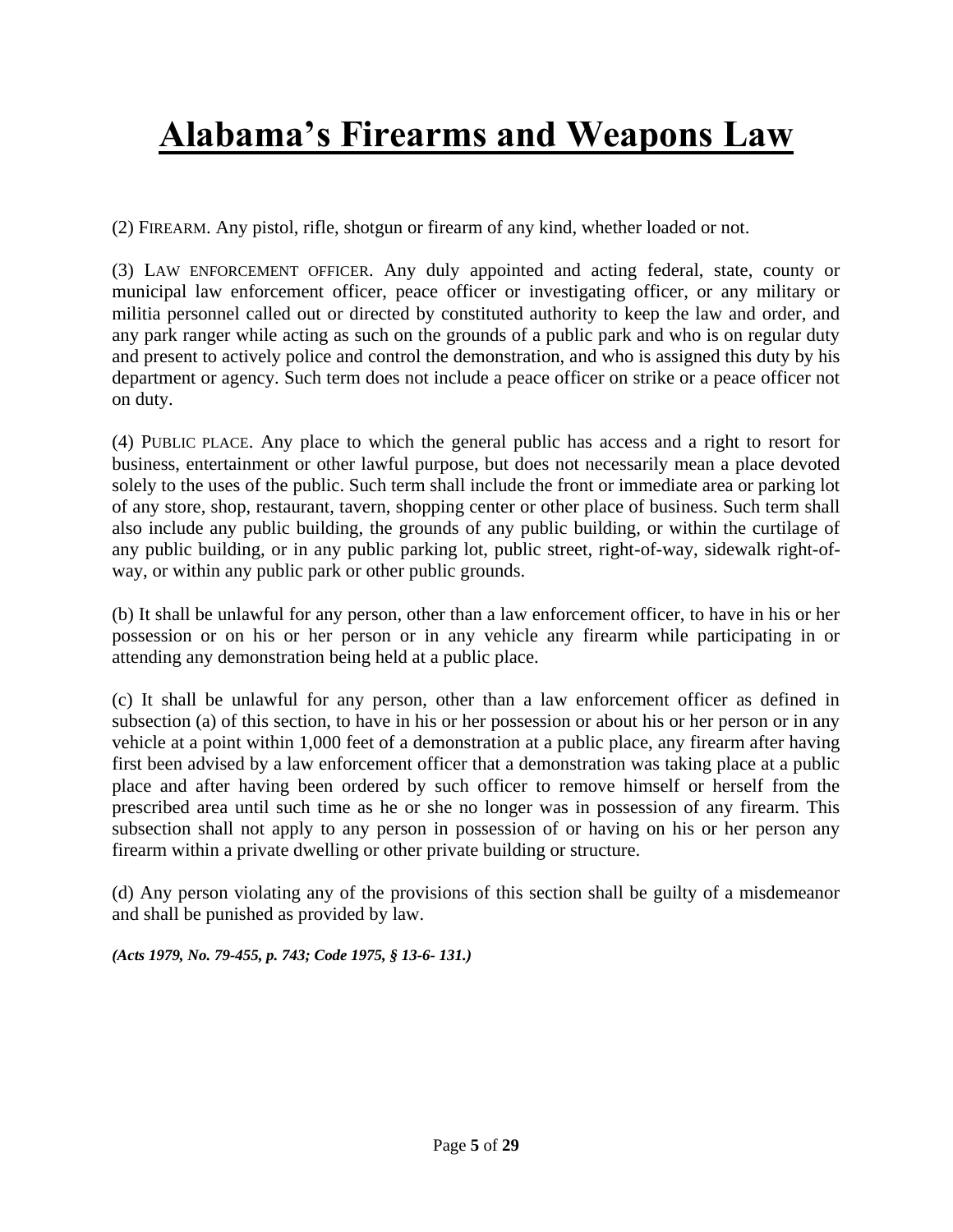(2) FIREARM. Any pistol, rifle, shotgun or firearm of any kind, whether loaded or not.

(3) LAW ENFORCEMENT OFFICER. Any duly appointed and acting federal, state, county or municipal law enforcement officer, peace officer or investigating officer, or any military or militia personnel called out or directed by constituted authority to keep the law and order, and any park ranger while acting as such on the grounds of a public park and who is on regular duty and present to actively police and control the demonstration, and who is assigned this duty by his department or agency. Such term does not include a peace officer on strike or a peace officer not on duty.

(4) PUBLIC PLACE. Any place to which the general public has access and a right to resort for business, entertainment or other lawful purpose, but does not necessarily mean a place devoted solely to the uses of the public. Such term shall include the front or immediate area or parking lot of any store, shop, restaurant, tavern, shopping center or other place of business. Such term shall also include any public building, the grounds of any public building, or within the curtilage of any public building, or in any public parking lot, public street, right-of-way, sidewalk right-ofway, or within any public park or other public grounds.

(b) It shall be unlawful for any person, other than a law enforcement officer, to have in his or her possession or on his or her person or in any vehicle any firearm while participating in or attending any demonstration being held at a public place.

(c) It shall be unlawful for any person, other than a law enforcement officer as defined in subsection (a) of this section, to have in his or her possession or about his or her person or in any vehicle at a point within 1,000 feet of a demonstration at a public place, any firearm after having first been advised by a law enforcement officer that a demonstration was taking place at a public place and after having been ordered by such officer to remove himself or herself from the prescribed area until such time as he or she no longer was in possession of any firearm. This subsection shall not apply to any person in possession of or having on his or her person any firearm within a private dwelling or other private building or structure.

(d) Any person violating any of the provisions of this section shall be guilty of a misdemeanor and shall be punished as provided by law.

*(Acts 1979, No. 79-455, p. 743; Code 1975, § 13-6- 131.)*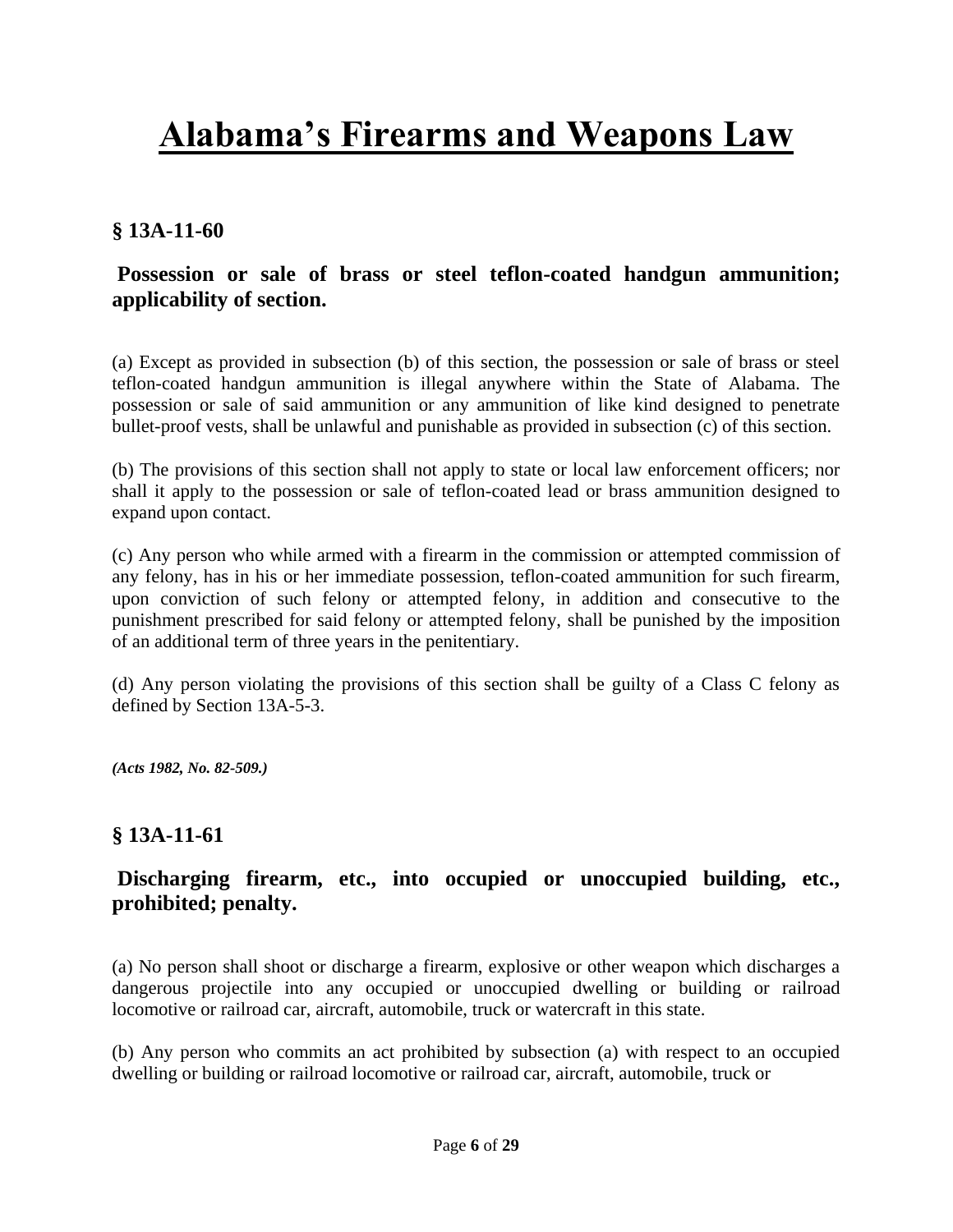## **§ 13A-11-60**

## **Possession or sale of brass or steel teflon-coated handgun ammunition; applicability of section.**

(a) Except as provided in subsection (b) of this section, the possession or sale of brass or steel teflon-coated handgun ammunition is illegal anywhere within the State of Alabama. The possession or sale of said ammunition or any ammunition of like kind designed to penetrate bullet-proof vests, shall be unlawful and punishable as provided in subsection (c) of this section.

(b) The provisions of this section shall not apply to state or local law enforcement officers; nor shall it apply to the possession or sale of teflon-coated lead or brass ammunition designed to expand upon contact.

(c) Any person who while armed with a firearm in the commission or attempted commission of any felony, has in his or her immediate possession, teflon-coated ammunition for such firearm, upon conviction of such felony or attempted felony, in addition and consecutive to the punishment prescribed for said felony or attempted felony, shall be punished by the imposition of an additional term of three years in the penitentiary.

(d) Any person violating the provisions of this section shall be guilty of a Class C felony as defined by [Section 13A-5-3.](http://web2.westlaw.com/find/default.wl?mt=Alabama&db=1000002&rs=WLW13.10&docname=ALSTS13A-5-3&rp=%2ffind%2fdefault.wl&findtype=L&ordoc=9205647&tc=-1&vr=2.0&fn=_top&sv=Split&tf=-1&pbc=56680247&utid=1)

*(Acts 1982, No. 82-509.)*

### **§ 13A-11-61**

## **Discharging firearm, etc., into occupied or unoccupied building, etc., prohibited; penalty.**

(a) No person shall shoot or discharge a firearm, explosive or other weapon which discharges a dangerous projectile into any occupied or unoccupied dwelling or building or railroad locomotive or railroad car, aircraft, automobile, truck or watercraft in this state.

(b) Any person who commits an act prohibited by subsection (a) with respect to an occupied dwelling or building or railroad locomotive or railroad car, aircraft, automobile, truck or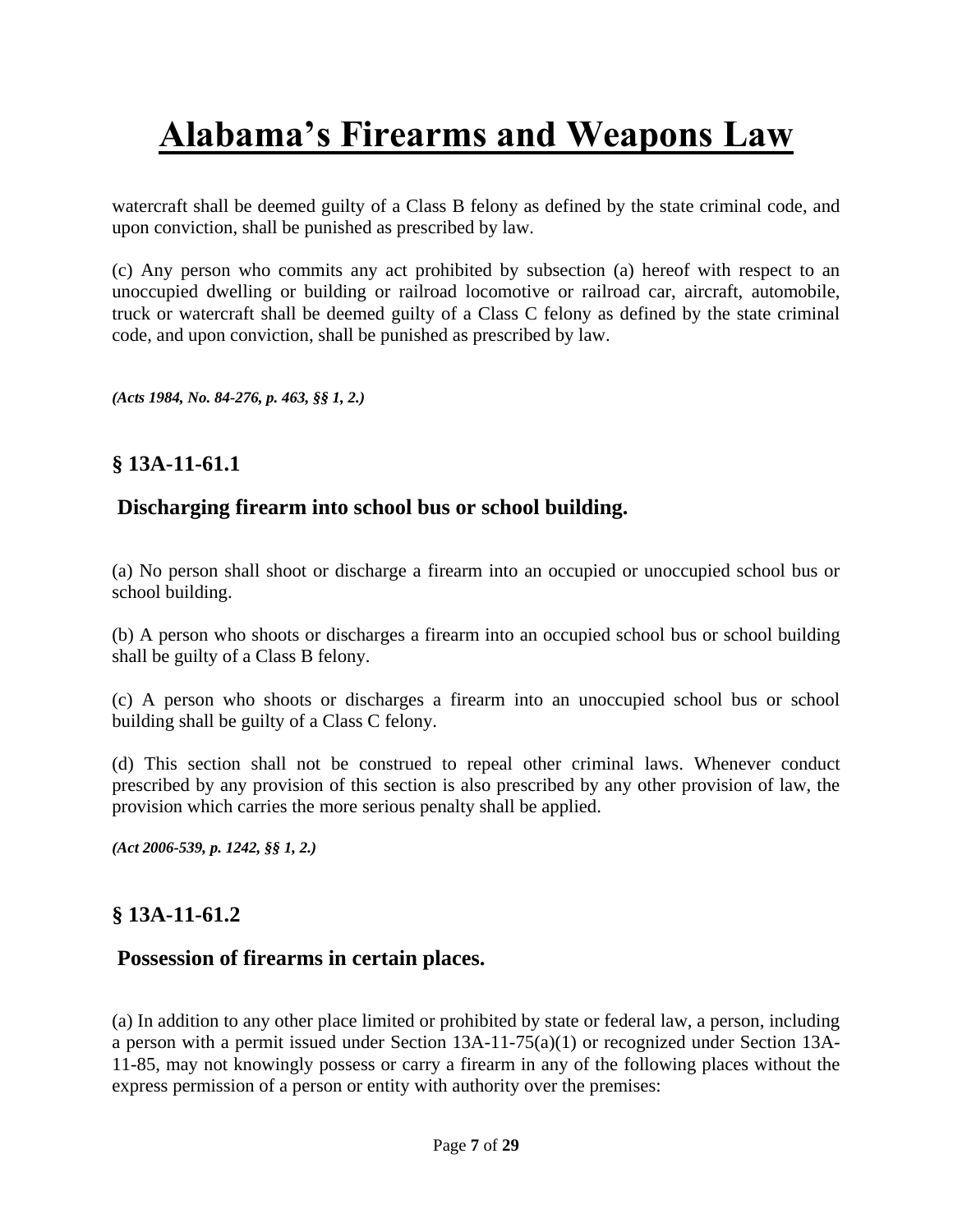watercraft shall be deemed guilty of a Class B felony as defined by the state criminal code, and upon conviction, shall be punished as prescribed by law.

(c) Any person who commits any act prohibited by subsection (a) hereof with respect to an unoccupied dwelling or building or railroad locomotive or railroad car, aircraft, automobile, truck or watercraft shall be deemed guilty of a Class C felony as defined by the state criminal code, and upon conviction, shall be punished as prescribed by law.

*(Acts 1984, No. 84-276, p. 463, §§ 1, 2.)*

## **§ 13A-11-61.1**

### **Discharging firearm into school bus or school building.**

(a) No person shall shoot or discharge a firearm into an occupied or unoccupied school bus or school building.

(b) A person who shoots or discharges a firearm into an occupied school bus or school building shall be guilty of a Class B felony.

(c) A person who shoots or discharges a firearm into an unoccupied school bus or school building shall be guilty of a Class C felony.

(d) This section shall not be construed to repeal other criminal laws. Whenever conduct prescribed by any provision of this section is also prescribed by any other provision of law, the provision which carries the more serious penalty shall be applied.

*[\(Act 2006-539, p. 1242, §§ 1, 2.\)](http://web2.westlaw.com/find/default.wl?mt=Alabama&db=1077005&rs=WLW13.10&docname=UUID(I9F12B8D0E5-D511DA91B7D-03A70918862)&rp=%2ffind%2fdefault.wl&findtype=l&ordoc=17448766&tc=-1&vr=2.0&fn=_top&sv=Split&tf=-1&pbc=C209591D&utid=1)*

### **§ 13A-11-61.2**

#### **Possession of firearms in certain places.**

(a) In addition to any other place limited or prohibited by state or federal law, a person, including a person with a permit issued under [Section 13A-11-75\(a\)\(1\)](http://web2.westlaw.com/find/default.wl?mt=Alabama&db=1000002&rs=WLW13.10&docname=ALSTS13A-11-75&rp=%2ffind%2fdefault.wl&findtype=L&ordoc=985370051&tc=-1&vr=2.0&fn=_top&sv=Split&tf=-1&referencepositiontype=T&pbc=9DA96D86&referenceposition=SP%3b7b9b000044381&utid=1) or recognized under [Section 13A-](http://web2.westlaw.com/find/default.wl?mt=Alabama&db=1000002&rs=WLW13.10&docname=ALSTS13A-11-85&rp=%2ffind%2fdefault.wl&findtype=L&ordoc=985370051&tc=-1&vr=2.0&fn=_top&sv=Split&tf=-1&pbc=9DA96D86&utid=1)[11-85,](http://web2.westlaw.com/find/default.wl?mt=Alabama&db=1000002&rs=WLW13.10&docname=ALSTS13A-11-85&rp=%2ffind%2fdefault.wl&findtype=L&ordoc=985370051&tc=-1&vr=2.0&fn=_top&sv=Split&tf=-1&pbc=9DA96D86&utid=1) may not knowingly possess or carry a firearm in any of the following places without the express permission of a person or entity with authority over the premises: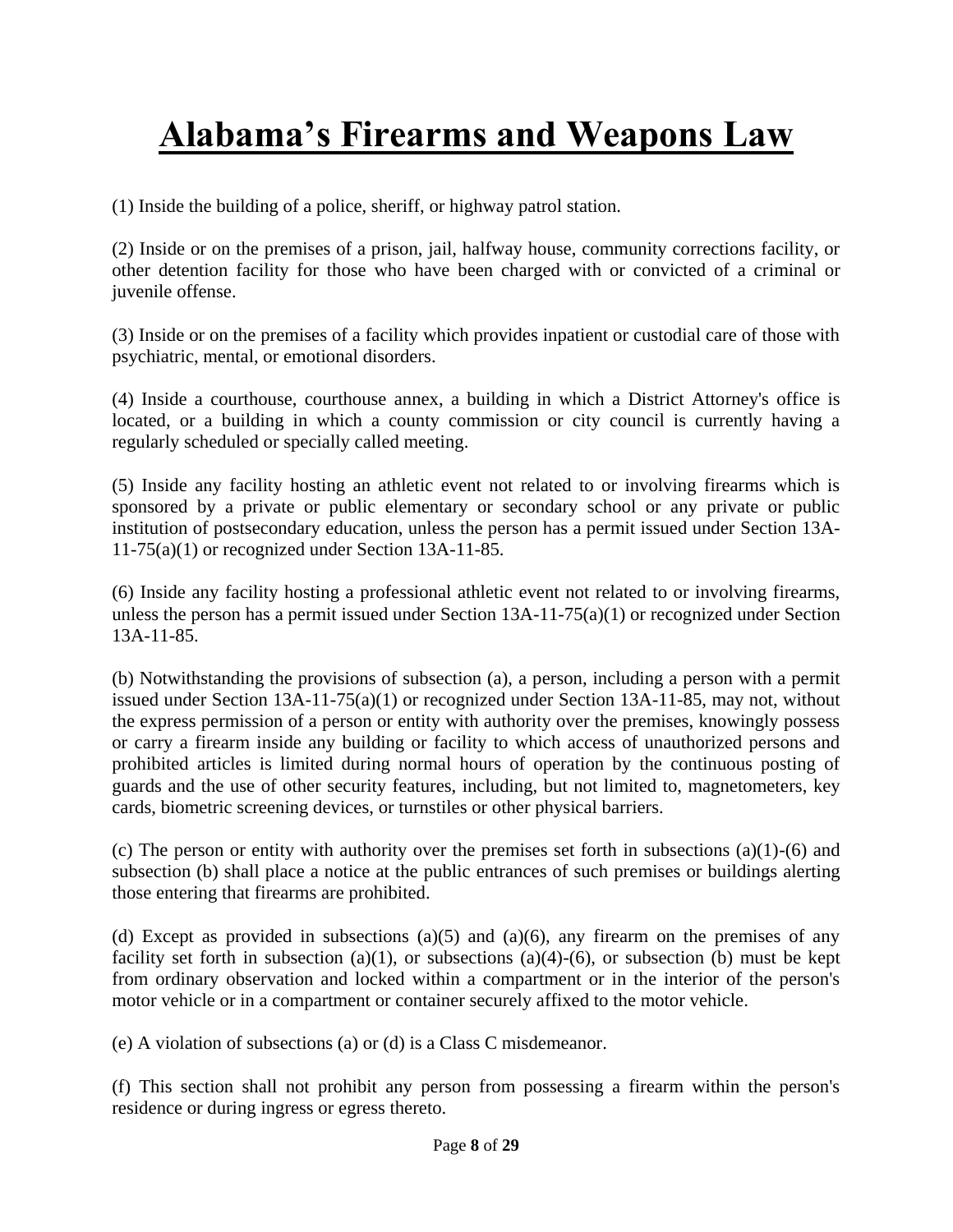(1) Inside the building of a police, sheriff, or highway patrol station.

(2) Inside or on the premises of a prison, jail, halfway house, community corrections facility, or other detention facility for those who have been charged with or convicted of a criminal or juvenile offense.

(3) Inside or on the premises of a facility which provides inpatient or custodial care of those with psychiatric, mental, or emotional disorders.

(4) Inside a courthouse, courthouse annex, a building in which a District Attorney's office is located, or a building in which a county commission or city council is currently having a regularly scheduled or specially called meeting.

(5) Inside any facility hosting an athletic event not related to or involving firearms which is sponsored by a private or public elementary or secondary school or any private or public institution of postsecondary education, unless the person has a permit issued under [Section 13A-](http://web2.westlaw.com/find/default.wl?mt=Alabama&db=1000002&rs=WLW13.10&docname=ALSTS13A-11-75&rp=%2ffind%2fdefault.wl&findtype=L&ordoc=985370051&tc=-1&vr=2.0&fn=_top&sv=Split&tf=-1&referencepositiontype=T&pbc=9DA96D86&referenceposition=SP%3b7b9b000044381&utid=1)[11-75\(a\)\(1\)](http://web2.westlaw.com/find/default.wl?mt=Alabama&db=1000002&rs=WLW13.10&docname=ALSTS13A-11-75&rp=%2ffind%2fdefault.wl&findtype=L&ordoc=985370051&tc=-1&vr=2.0&fn=_top&sv=Split&tf=-1&referencepositiontype=T&pbc=9DA96D86&referenceposition=SP%3b7b9b000044381&utid=1) or recognized under [Section 13A-11-85.](http://web2.westlaw.com/find/default.wl?mt=Alabama&db=1000002&rs=WLW13.10&docname=ALSTS13A-11-85&rp=%2ffind%2fdefault.wl&findtype=L&ordoc=985370051&tc=-1&vr=2.0&fn=_top&sv=Split&tf=-1&pbc=9DA96D86&utid=1)

(6) Inside any facility hosting a professional athletic event not related to or involving firearms, unless the person has a permit issued under [Section](http://web2.westlaw.com/find/default.wl?mt=Alabama&db=1000002&rs=WLW13.10&docname=ALSTS13A-11-85&rp=%2ffind%2fdefault.wl&findtype=L&ordoc=985370051&tc=-1&vr=2.0&fn=_top&sv=Split&tf=-1&pbc=9DA96D86&utid=1)  $13A-11-75(a)(1)$  or recognized under Section [13A-11-85.](http://web2.westlaw.com/find/default.wl?mt=Alabama&db=1000002&rs=WLW13.10&docname=ALSTS13A-11-85&rp=%2ffind%2fdefault.wl&findtype=L&ordoc=985370051&tc=-1&vr=2.0&fn=_top&sv=Split&tf=-1&pbc=9DA96D86&utid=1)

(b) Notwithstanding the provisions of subsection (a), a person, including a person with a permit issued under [Section 13A-11-75\(a\)\(1\)](http://web2.westlaw.com/find/default.wl?mt=Alabama&db=1000002&rs=WLW13.10&docname=ALSTS13A-11-75&rp=%2ffind%2fdefault.wl&findtype=L&ordoc=985370051&tc=-1&vr=2.0&fn=_top&sv=Split&tf=-1&referencepositiontype=T&pbc=9DA96D86&referenceposition=SP%3b7b9b000044381&utid=1) or recognized under [Section 13A-11-85,](http://web2.westlaw.com/find/default.wl?mt=Alabama&db=1000002&rs=WLW13.10&docname=ALSTS13A-11-85&rp=%2ffind%2fdefault.wl&findtype=L&ordoc=985370051&tc=-1&vr=2.0&fn=_top&sv=Split&tf=-1&pbc=9DA96D86&utid=1) may not, without the express permission of a person or entity with authority over the premises, knowingly possess or carry a firearm inside any building or facility to which access of unauthorized persons and prohibited articles is limited during normal hours of operation by the continuous posting of guards and the use of other security features, including, but not limited to, magnetometers, key cards, biometric screening devices, or turnstiles or other physical barriers.

(c) The person or entity with authority over the premises set forth in subsections (a)(1)-(6) and subsection (b) shall place a notice at the public entrances of such premises or buildings alerting those entering that firearms are prohibited.

(d) Except as provided in subsections (a)(5) and (a)(6), any firearm on the premises of any facility set forth in subsection (a)(1), or subsections (a)(4)-(6), or subsection (b) must be kept from ordinary observation and locked within a compartment or in the interior of the person's motor vehicle or in a compartment or container securely affixed to the motor vehicle.

(e) A violation of subsections (a) or (d) is a Class C misdemeanor.

(f) This section shall not prohibit any person from possessing a firearm within the person's residence or during ingress or egress thereto.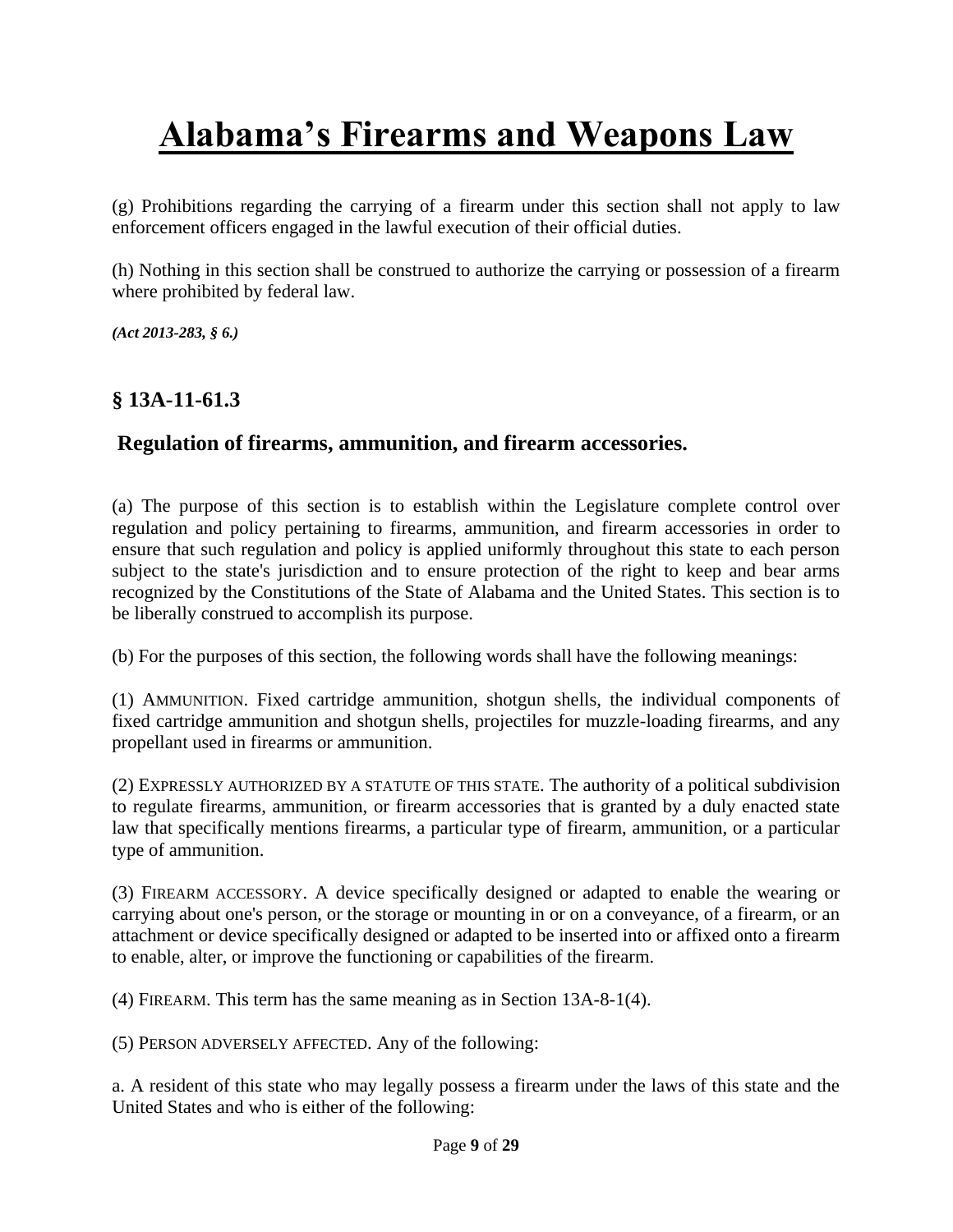(g) Prohibitions regarding the carrying of a firearm under this section shall not apply to law enforcement officers engaged in the lawful execution of their official duties.

(h) Nothing in this section shall be construed to authorize the carrying or possession of a firearm where prohibited by federal law.

*(Act [2013-283, § 6.\)](http://web2.westlaw.com/find/default.wl?mt=Alabama&db=1077005&rs=WLW13.10&docname=UUID(IEC7F5F00C9-3B11E2A8D28-BF312CA3A38)&rp=%2ffind%2fdefault.wl&findtype=l&ordoc=985370051&tc=-1&vr=2.0&fn=_top&sv=Split&tf=-1&pbc=9DA96D86&utid=1)*

## **§ 13A-11-61.3**

## **Regulation of firearms, ammunition, and firearm accessories.**

(a) The purpose of this section is to establish within the Legislature complete control over regulation and policy pertaining to firearms, ammunition, and firearm accessories in order to ensure that such regulation and policy is applied uniformly throughout this state to each person subject to the state's jurisdiction and to ensure protection of the right to keep and bear arms recognized by the Constitutions of the State of Alabama and the United States. This section is to be liberally construed to accomplish its purpose.

(b) For the purposes of this section, the following words shall have the following meanings:

(1) AMMUNITION. Fixed cartridge ammunition, shotgun shells, the individual components of fixed cartridge ammunition and shotgun shells, projectiles for muzzle-loading firearms, and any propellant used in firearms or ammunition.

(2) EXPRESSLY AUTHORIZED BY A STATUTE OF THIS STATE. The authority of a political subdivision to regulate firearms, ammunition, or firearm accessories that is granted by a duly enacted state law that specifically mentions firearms, a particular type of firearm, ammunition, or a particular type of ammunition.

(3) FIREARM ACCESSORY. A device specifically designed or adapted to enable the wearing or carrying about one's person, or the storage or mounting in or on a conveyance, of a firearm, or an attachment or device specifically designed or adapted to be inserted into or affixed onto a firearm to enable, alter, or improve the functioning or capabilities of the firearm.

(4) FIREARM. This term has the same meaning as in [Section 13A-8-1\(4\).](http://web2.westlaw.com/find/default.wl?mt=Alabama&db=1000002&rs=WLW13.10&docname=ALSTS13A-8-1&rp=%2ffind%2fdefault.wl&findtype=L&ordoc=985370050&tc=-1&vr=2.0&fn=_top&sv=Split&tf=-1&referencepositiontype=T&pbc=D04A65B3&referenceposition=SP%3b0bd500007a412&utid=1)

(5) PERSON ADVERSELY AFFECTED. Any of the following:

a. A resident of this state who may legally possess a firearm under the laws of this state and the United States and who is either of the following: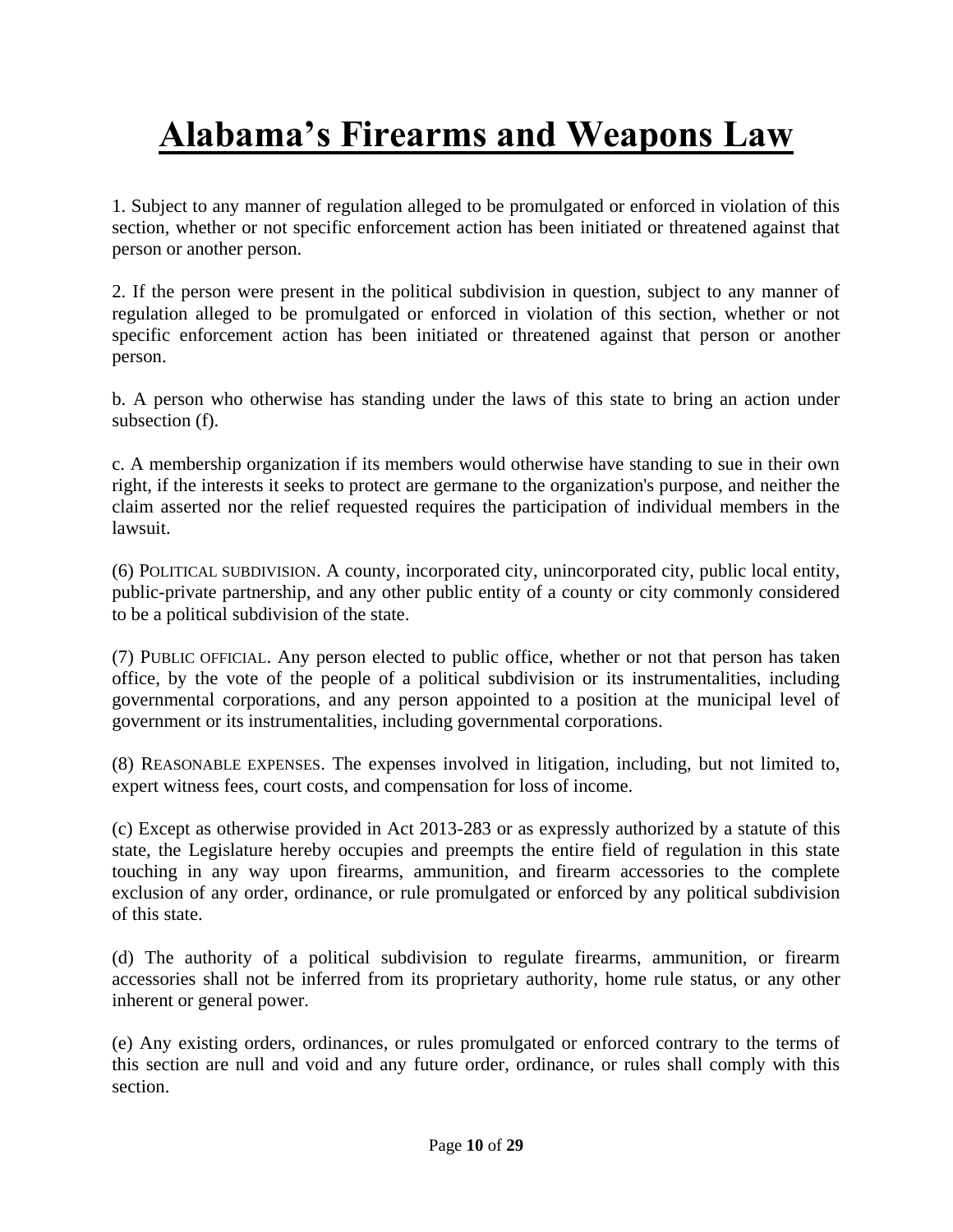1. Subject to any manner of regulation alleged to be promulgated or enforced in violation of this section, whether or not specific enforcement action has been initiated or threatened against that person or another person.

2. If the person were present in the political subdivision in question, subject to any manner of regulation alleged to be promulgated or enforced in violation of this section, whether or not specific enforcement action has been initiated or threatened against that person or another person.

b. A person who otherwise has standing under the laws of this state to bring an action under subsection (f).

c. A membership organization if its members would otherwise have standing to sue in their own right, if the interests it seeks to protect are germane to the organization's purpose, and neither the claim asserted nor the relief requested requires the participation of individual members in the lawsuit.

(6) POLITICAL SUBDIVISION. A county, incorporated city, unincorporated city, public local entity, public-private partnership, and any other public entity of a county or city commonly considered to be a political subdivision of the state.

(7) PUBLIC OFFICIAL. Any person elected to public office, whether or not that person has taken office, by the vote of the people of a political subdivision or its instrumentalities, including governmental corporations, and any person appointed to a position at the municipal level of government or its instrumentalities, including governmental corporations.

(8) REASONABLE EXPENSES. The expenses involved in litigation, including, but not limited to, expert witness fees, court costs, and compensation for loss of income.

(c) Except as otherwise provided in Act 2013-283 or as expressly authorized by a statute of this state, the Legislature hereby occupies and preempts the entire field of regulation in this state touching in any way upon firearms, ammunition, and firearm accessories to the complete exclusion of any order, ordinance, or rule promulgated or enforced by any political subdivision of this state.

(d) The authority of a political subdivision to regulate firearms, ammunition, or firearm accessories shall not be inferred from its proprietary authority, home rule status, or any other inherent or general power.

(e) Any existing orders, ordinances, or rules promulgated or enforced contrary to the terms of this section are null and void and any future order, ordinance, or rules shall comply with this section.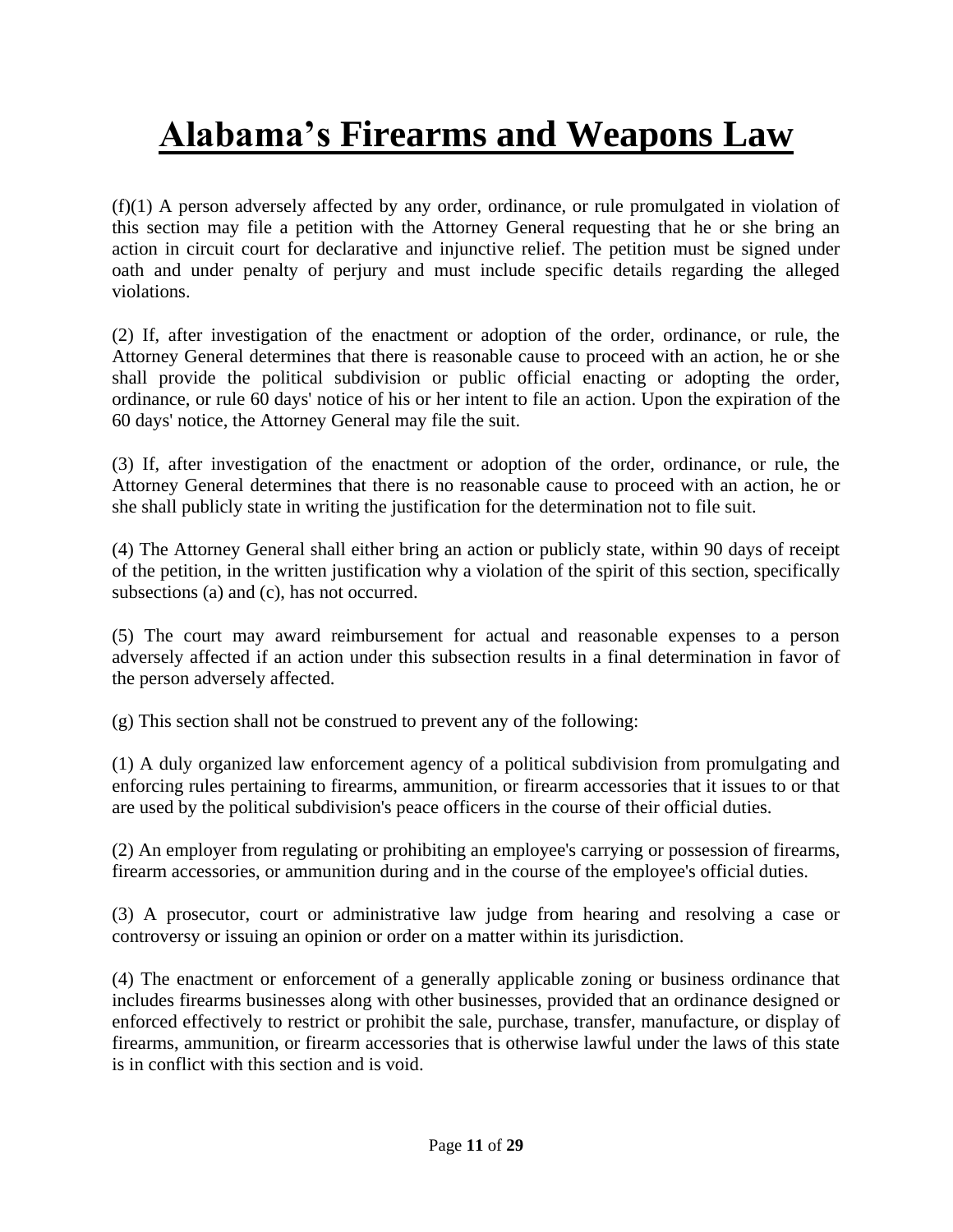(f)(1) A person adversely affected by any order, ordinance, or rule promulgated in violation of this section may file a petition with the Attorney General requesting that he or she bring an action in circuit court for declarative and injunctive relief. The petition must be signed under oath and under penalty of perjury and must include specific details regarding the alleged violations.

(2) If, after investigation of the enactment or adoption of the order, ordinance, or rule, the Attorney General determines that there is reasonable cause to proceed with an action, he or she shall provide the political subdivision or public official enacting or adopting the order, ordinance, or rule 60 days' notice of his or her intent to file an action. Upon the expiration of the 60 days' notice, the Attorney General may file the suit.

(3) If, after investigation of the enactment or adoption of the order, ordinance, or rule, the Attorney General determines that there is no reasonable cause to proceed with an action, he or she shall publicly state in writing the justification for the determination not to file suit.

(4) The Attorney General shall either bring an action or publicly state, within 90 days of receipt of the petition, in the written justification why a violation of the spirit of this section, specifically subsections (a) and (c), has not occurred.

(5) The court may award reimbursement for actual and reasonable expenses to a person adversely affected if an action under this subsection results in a final determination in favor of the person adversely affected.

(g) This section shall not be construed to prevent any of the following:

(1) A duly organized law enforcement agency of a political subdivision from promulgating and enforcing rules pertaining to firearms, ammunition, or firearm accessories that it issues to or that are used by the political subdivision's peace officers in the course of their official duties.

(2) An employer from regulating or prohibiting an employee's carrying or possession of firearms, firearm accessories, or ammunition during and in the course of the employee's official duties.

(3) A prosecutor, court or administrative law judge from hearing and resolving a case or controversy or issuing an opinion or order on a matter within its jurisdiction.

(4) The enactment or enforcement of a generally applicable zoning or business ordinance that includes firearms businesses along with other businesses, provided that an ordinance designed or enforced effectively to restrict or prohibit the sale, purchase, transfer, manufacture, or display of firearms, ammunition, or firearm accessories that is otherwise lawful under the laws of this state is in conflict with this section and is void.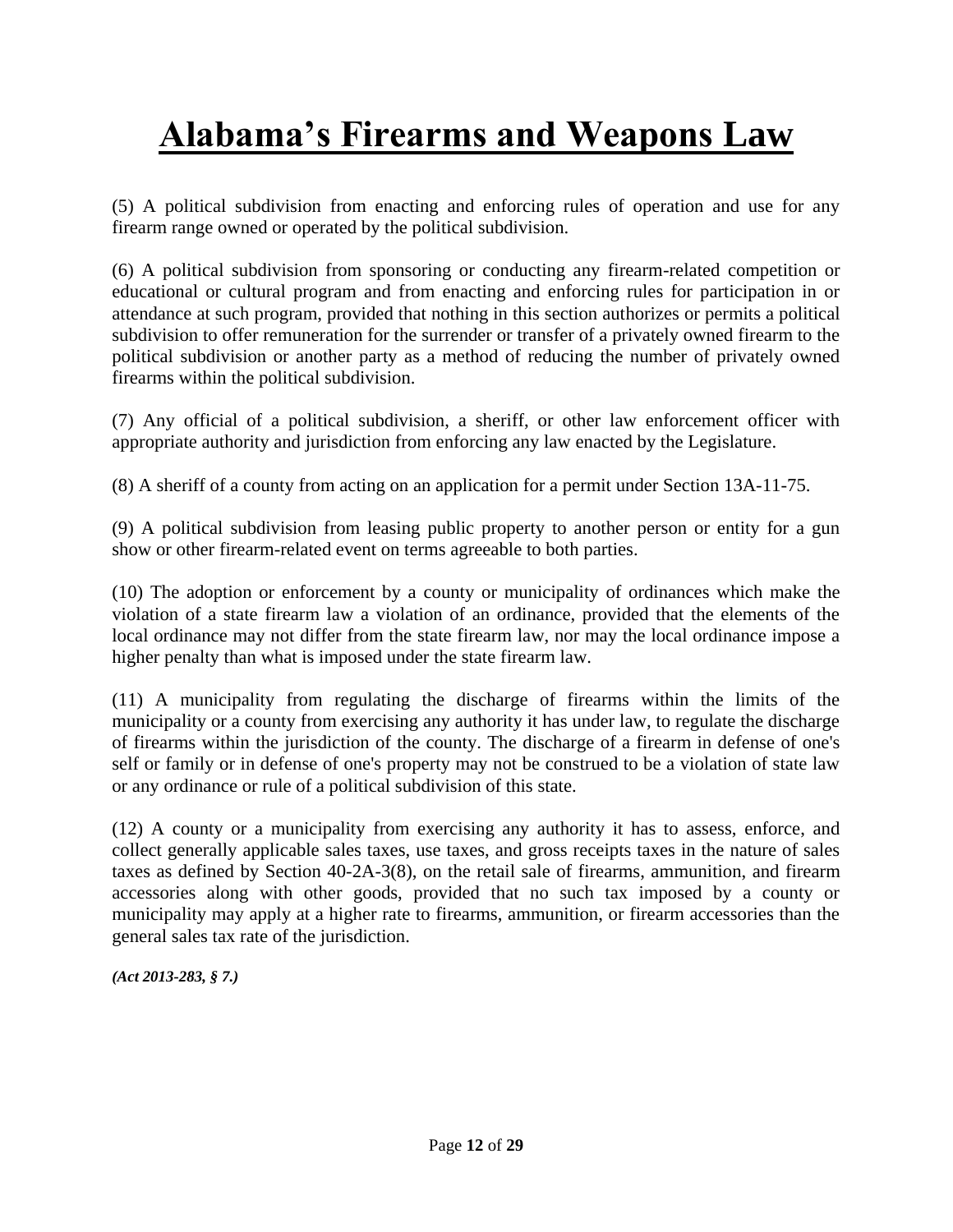(5) A political subdivision from enacting and enforcing rules of operation and use for any firearm range owned or operated by the political subdivision.

(6) A political subdivision from sponsoring or conducting any firearm-related competition or educational or cultural program and from enacting and enforcing rules for participation in or attendance at such program, provided that nothing in this section authorizes or permits a political subdivision to offer remuneration for the surrender or transfer of a privately owned firearm to the political subdivision or another party as a method of reducing the number of privately owned firearms within the political subdivision.

(7) Any official of a political subdivision, a sheriff, or other law enforcement officer with appropriate authority and jurisdiction from enforcing any law enacted by the Legislature.

(8) A sheriff of a county from acting on an application for a permit under [Section 13A-11-75.](http://web2.westlaw.com/find/default.wl?mt=Alabama&db=1000002&rs=WLW13.10&docname=ALSTS13A-11-75&rp=%2ffind%2fdefault.wl&findtype=L&ordoc=985370050&tc=-1&vr=2.0&fn=_top&sv=Split&tf=-1&pbc=D04A65B3&utid=1)

(9) A political subdivision from leasing public property to another person or entity for a gun show or other firearm-related event on terms agreeable to both parties.

(10) The adoption or enforcement by a county or municipality of ordinances which make the violation of a state firearm law a violation of an ordinance, provided that the elements of the local ordinance may not differ from the state firearm law, nor may the local ordinance impose a higher penalty than what is imposed under the state firearm law.

(11) A municipality from regulating the discharge of firearms within the limits of the municipality or a county from exercising any authority it has under law, to regulate the discharge of firearms within the jurisdiction of the county. The discharge of a firearm in defense of one's self or family or in defense of one's property may not be construed to be a violation of state law or any ordinance or rule of a political subdivision of this state.

(12) A county or a municipality from exercising any authority it has to assess, enforce, and collect generally applicable sales taxes, use taxes, and gross receipts taxes in the nature of sales taxes as defined by [Section 40-2A-3\(8\),](http://web2.westlaw.com/find/default.wl?mt=Alabama&db=1000002&rs=WLW13.10&docname=ALSTS40-2A-3&rp=%2ffind%2fdefault.wl&findtype=L&ordoc=985370050&tc=-1&vr=2.0&fn=_top&sv=Split&tf=-1&referencepositiontype=T&pbc=D04A65B3&referenceposition=SP%3b23450000ab4d2&utid=1) on the retail sale of firearms, ammunition, and firearm accessories along with other goods, provided that no such tax imposed by a county or municipality may apply at a higher rate to firearms, ammunition, or firearm accessories than the general sales tax rate of the jurisdiction.

*[\(Act 2013-283, § 7.\)](http://web2.westlaw.com/find/default.wl?mt=Alabama&db=1077005&rs=WLW13.10&docname=UUID(IEC7F5F00C9-3B11E2A8D28-BF312CA3A38)&rp=%2ffind%2fdefault.wl&findtype=l&ordoc=985370050&tc=-1&vr=2.0&fn=_top&sv=Split&tf=-1&pbc=D04A65B3&utid=1)*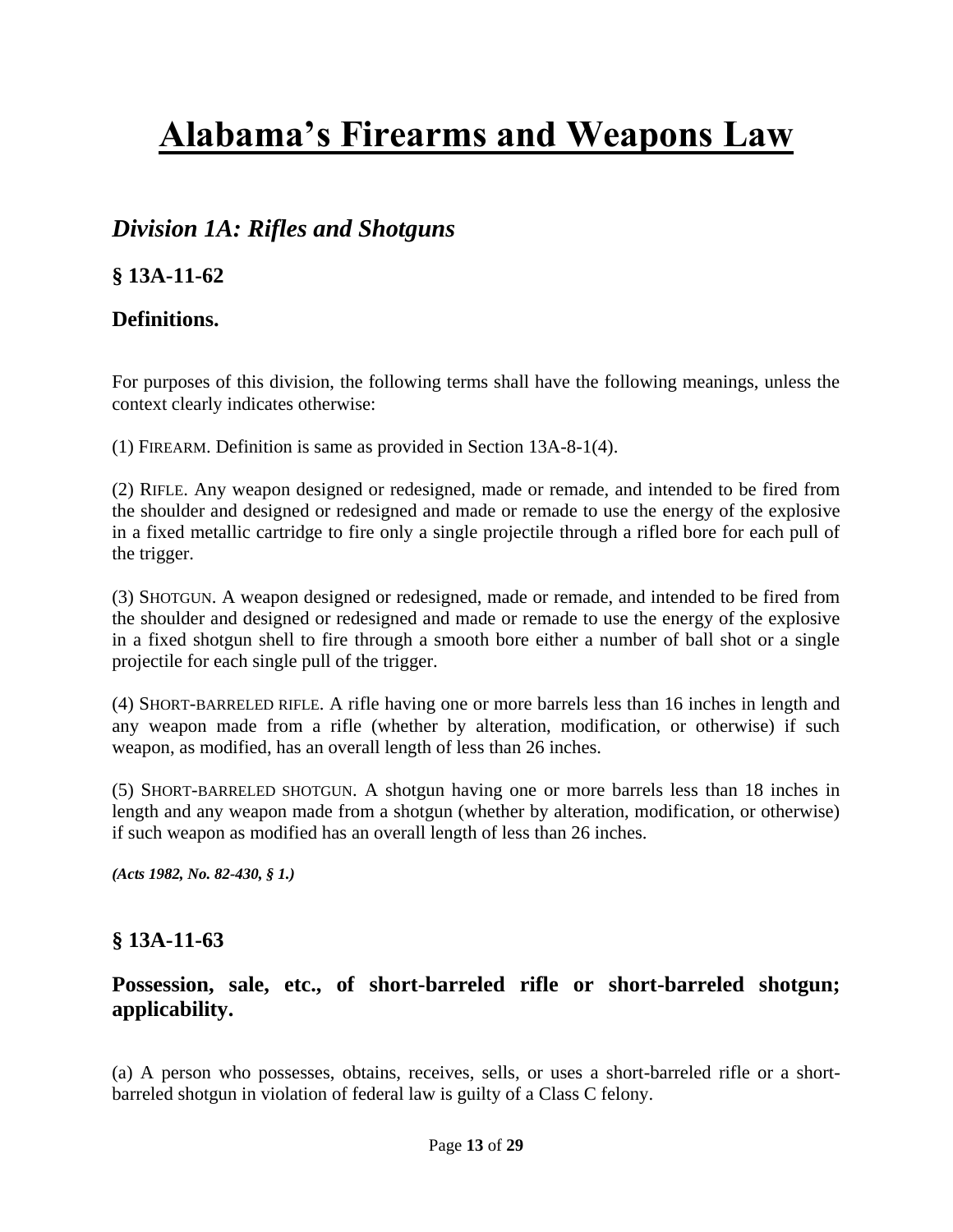## *Division 1A: Rifles and Shotguns*

## **§ 13A-11-62**

## **Definitions.**

For purposes of this division, the following terms shall have the following meanings, unless the context clearly indicates otherwise:

(1) FIREARM. Definition is same as provided in [Section 13A-8-1\(4\).](http://web2.westlaw.com/find/default.wl?mt=Alabama&db=1000002&rs=WLW13.10&docname=ALSTS13A-8-1&rp=%2ffind%2fdefault.wl&findtype=L&ordoc=9205650&tc=-1&vr=2.0&fn=_top&sv=Split&tf=-1&referencepositiontype=T&pbc=447A3037&referenceposition=SP%3b0bd500007a412&utid=1)

(2) RIFLE. Any weapon designed or redesigned, made or remade, and intended to be fired from the shoulder and designed or redesigned and made or remade to use the energy of the explosive in a fixed metallic cartridge to fire only a single projectile through a rifled bore for each pull of the trigger.

(3) SHOTGUN. A weapon designed or redesigned, made or remade, and intended to be fired from the shoulder and designed or redesigned and made or remade to use the energy of the explosive in a fixed shotgun shell to fire through a smooth bore either a number of ball shot or a single projectile for each single pull of the trigger.

(4) SHORT-BARRELED RIFLE. A rifle having one or more barrels less than 16 inches in length and any weapon made from a rifle (whether by alteration, modification, or otherwise) if such weapon, as modified, has an overall length of less than 26 inches.

(5) SHORT-BARRELED SHOTGUN. A shotgun having one or more barrels less than 18 inches in length and any weapon made from a shotgun (whether by alteration, modification, or otherwise) if such weapon as modified has an overall length of less than 26 inches.

*(Acts 1982, No. 82-430, § 1.)*

## **§ 13A-11-63**

### **Possession, sale, etc., of short-barreled rifle or short-barreled shotgun; applicability.**

(a) A person who possesses, obtains, receives, sells, or uses a short-barreled rifle or a shortbarreled shotgun in violation of federal law is guilty of a Class C felony.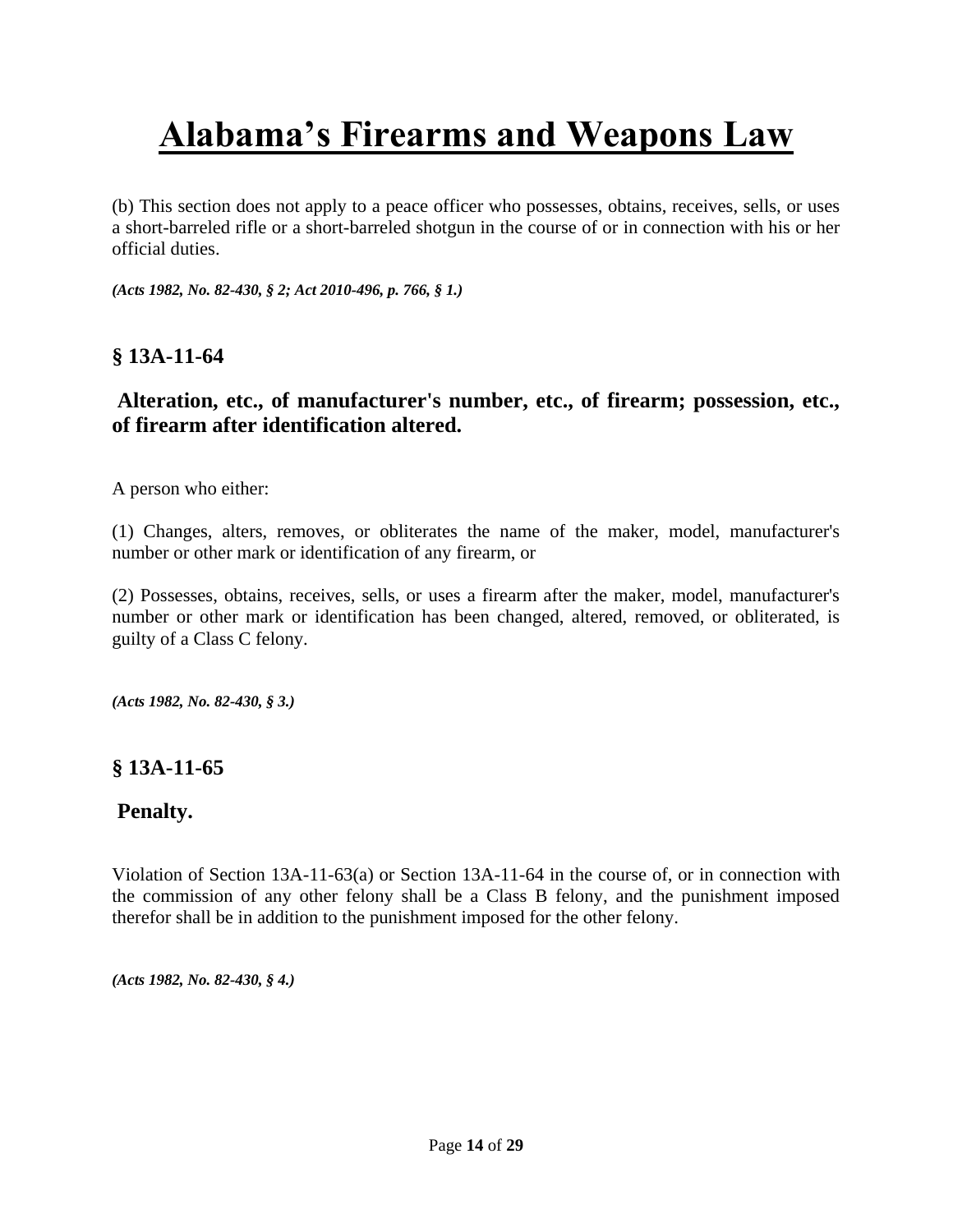(b) This section does not apply to a peace officer who possesses, obtains, receives, sells, or uses a short-barreled rifle or a short-barreled shotgun in the course of or in connection with his or her official duties.

*(Acts 1982, No. 82-430, § 2[; Act 2010-496, p. 766, § 1.\)](http://web2.westlaw.com/find/default.wl?mt=Alabama&db=1077005&rs=WLW13.10&docname=UUID(IBA2FF3A04F-1011DF805BD-D310515A6C6)&rp=%2ffind%2fdefault.wl&findtype=l&ordoc=9205651&tc=-1&vr=2.0&fn=_top&sv=Split&tf=-1&pbc=2451FFF6&utid=1)*

### **§ 13A-11-64**

## **Alteration, etc., of manufacturer's number, etc., of firearm; possession, etc., of firearm after identification altered.**

A person who either:

(1) Changes, alters, removes, or obliterates the name of the maker, model, manufacturer's number or other mark or identification of any firearm, or

(2) Possesses, obtains, receives, sells, or uses a firearm after the maker, model, manufacturer's number or other mark or identification has been changed, altered, removed, or obliterated, is guilty of a Class C felony.

*(Acts 1982, No. 82-430, § 3.)*

### **§ 13A-11-65**

### **Penalty.**

Violation of Section 13A-11-63(a) or Section 13A-11-64 in the course of, or in connection with the commission of any other felony shall be a Class B felony, and the punishment imposed therefor shall be in addition to the punishment imposed for the other felony.

*(Acts 1982, No. 82-430, § 4.)*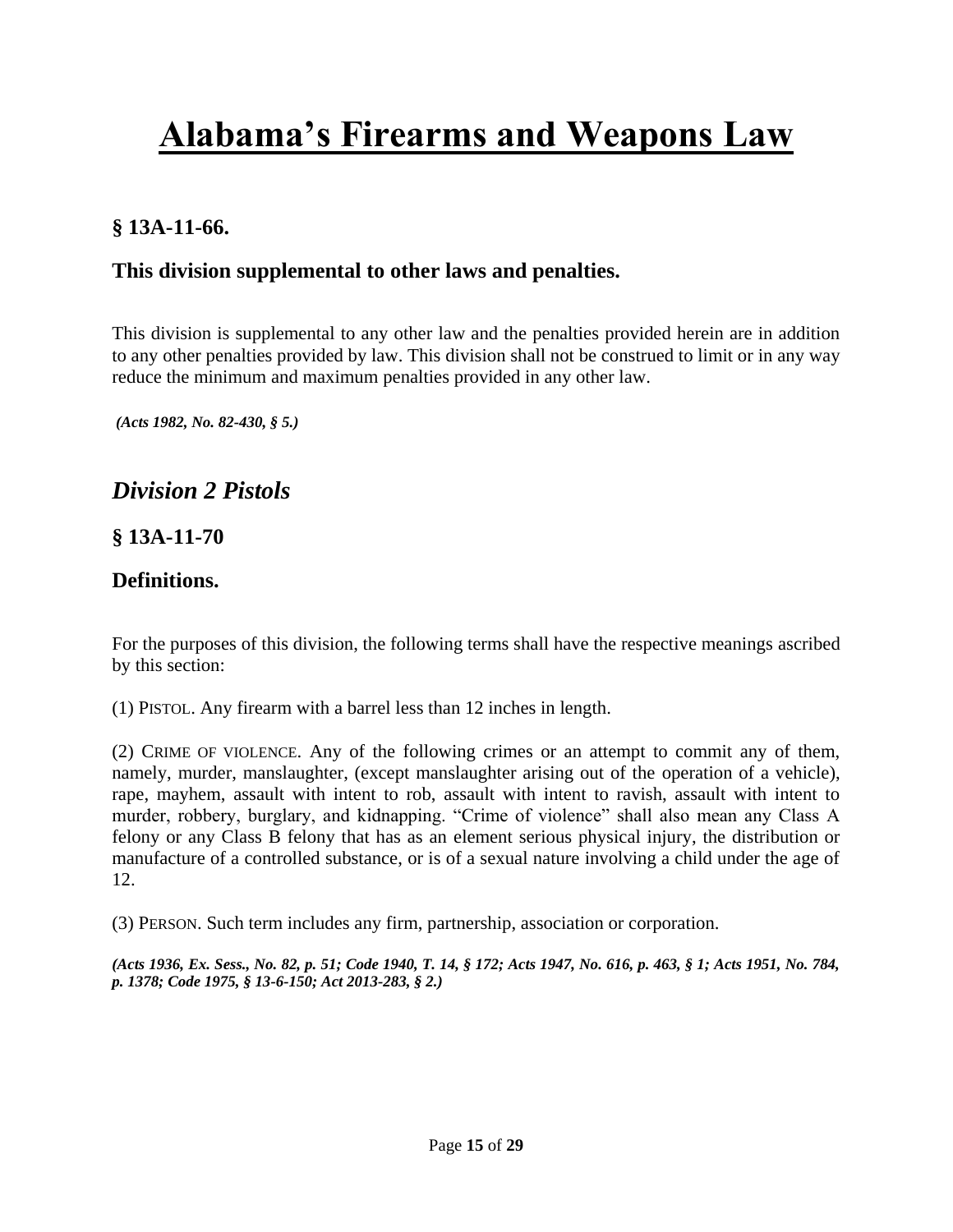## **§ 13A-11-66.**

### **This division supplemental to other laws and penalties.**

This division is supplemental to any other law and the penalties provided herein are in addition to any other penalties provided by law. This division shall not be construed to limit or in any way reduce the minimum and maximum penalties provided in any other law.

*(Acts 1982, No. 82-430, § 5.)*

## *Division 2 Pistols*

### **§ 13A-11-70**

### **Definitions.**

For the purposes of this division, the following terms shall have the respective meanings ascribed by this section:

(1) PISTOL. Any firearm with a barrel less than 12 inches in length.

(2) CRIME OF VIOLENCE. Any of the following crimes or an attempt to commit any of them, namely, murder, manslaughter, (except manslaughter arising out of the operation of a vehicle), rape, mayhem, assault with intent to rob, assault with intent to ravish, assault with intent to murder, robbery, burglary, and kidnapping. "Crime of violence" shall also mean any Class A felony or any Class B felony that has as an element serious physical injury, the distribution or manufacture of a controlled substance, or is of a sexual nature involving a child under the age of 12.

(3) PERSON. Such term includes any firm, partnership, association or corporation.

*(Acts 1936, Ex. Sess., No. 82, p. 51; Code 1940, T. 14, § 172; Acts 1947, No. 616, p. 463, § 1; Acts 1951, No. 784, p. 1378; Code 1975, § 13-6-150[; Act 2013-283, § 2.\)](http://web2.westlaw.com/find/default.wl?mt=Alabama&db=1077005&rs=WLW13.10&docname=UUID(IEC7F5F00C9-3B11E2A8D28-BF312CA3A38)&rp=%2ffind%2fdefault.wl&findtype=l&ordoc=9205656&tc=-1&vr=2.0&fn=_top&sv=Split&tf=-1&pbc=5BA90C36&utid=1)*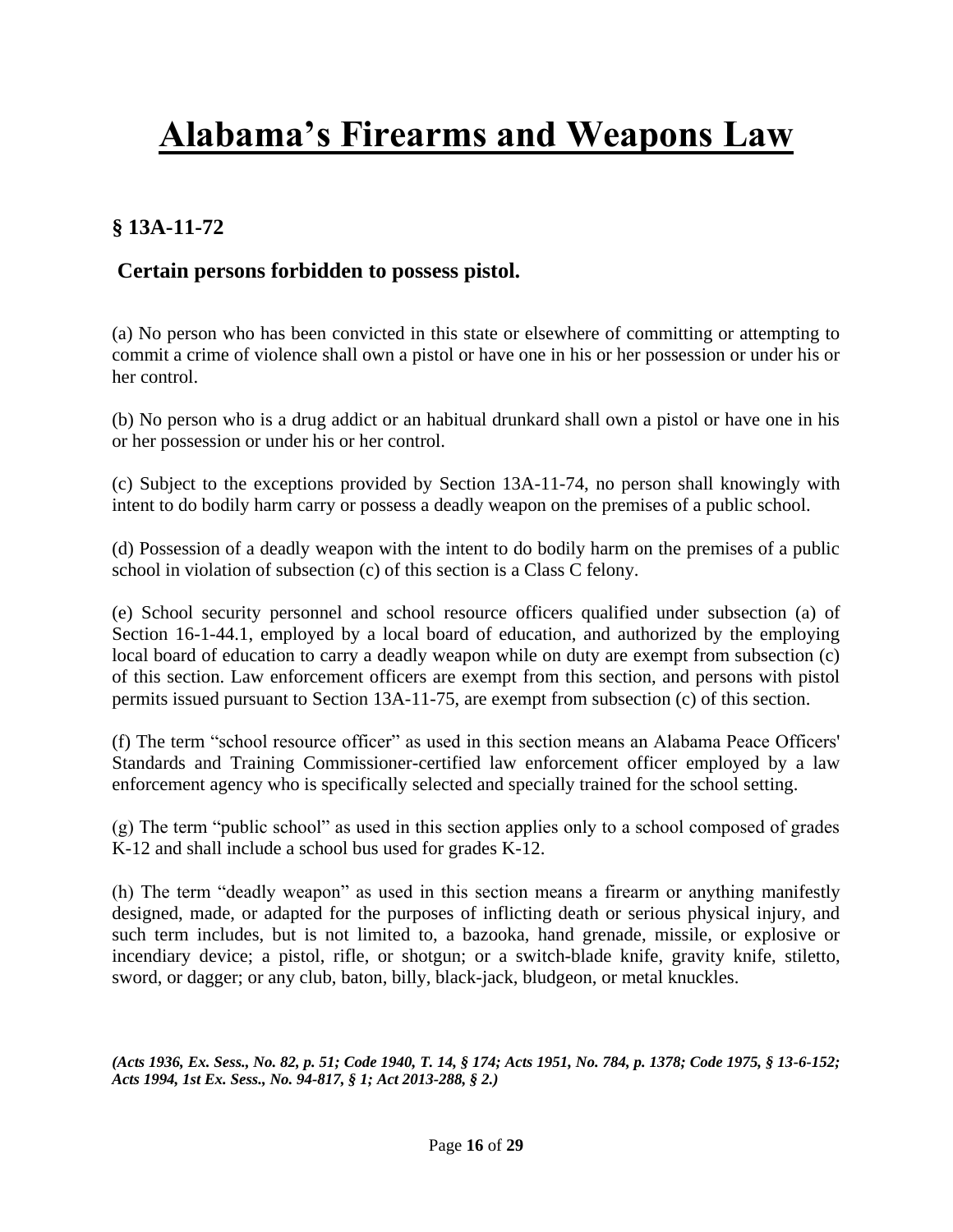## **§ 13A-11-72**

## **Certain persons forbidden to possess pistol.**

(a) No person who has been convicted in this state or elsewhere of committing or attempting to commit a crime of violence shall own a pistol or have one in his or her possession or under his or her control.

(b) No person who is a drug addict or an habitual drunkard shall own a pistol or have one in his or her possession or under his or her control.

(c) Subject to the exceptions provided by [Section 13A-11-74,](http://web2.westlaw.com/find/default.wl?mt=Alabama&db=1000002&rs=WLW13.10&docname=ALSTS13A-11-74&rp=%2ffind%2fdefault.wl&findtype=L&ordoc=9205658&tc=-1&vr=2.0&fn=_top&sv=Split&tf=-1&pbc=B89EF073&utid=1) no person shall knowingly with intent to do bodily harm carry or possess a deadly weapon on the premises of a public school.

(d) Possession of a deadly weapon with the intent to do bodily harm on the premises of a public school in violation of subsection (c) of this section is a Class C felony.

(e) School security personnel and school resource officers qualified under [subsection \(a\) of](http://web2.westlaw.com/find/default.wl?mt=Alabama&db=1000002&rs=WLW13.10&docname=ALSTS16-1-44.1&rp=%2ffind%2fdefault.wl&findtype=L&ordoc=9205658&tc=-1&vr=2.0&fn=_top&sv=Split&tf=-1&referencepositiontype=T&pbc=B89EF073&referenceposition=SP%3b8b3b0000958a4&utid=1)  [Section 16-1-44.1,](http://web2.westlaw.com/find/default.wl?mt=Alabama&db=1000002&rs=WLW13.10&docname=ALSTS16-1-44.1&rp=%2ffind%2fdefault.wl&findtype=L&ordoc=9205658&tc=-1&vr=2.0&fn=_top&sv=Split&tf=-1&referencepositiontype=T&pbc=B89EF073&referenceposition=SP%3b8b3b0000958a4&utid=1) employed by a local board of education, and authorized by the employing local board of education to carry a deadly weapon while on duty are exempt from subsection (c) of this section. Law enforcement officers are exempt from this section, and persons with pistol permits issued pursuant to [Section 13A-11-75,](http://web2.westlaw.com/find/default.wl?mt=Alabama&db=1000002&rs=WLW13.10&docname=ALSTS13A-11-75&rp=%2ffind%2fdefault.wl&findtype=L&ordoc=9205658&tc=-1&vr=2.0&fn=_top&sv=Split&tf=-1&pbc=B89EF073&utid=1) are exempt from subsection (c) of this section.

(f) The term "school resource officer" as used in this section means an Alabama Peace Officers' Standards and Training Commissioner-certified law enforcement officer employed by a law enforcement agency who is specifically selected and specially trained for the school setting.

(g) The term "public school" as used in this section applies only to a school composed of grades K-12 and shall include a school bus used for grades K-12.

(h) The term "deadly weapon" as used in this section means a firearm or anything manifestly designed, made, or adapted for the purposes of inflicting death or serious physical injury, and such term includes, but is not limited to, a bazooka, hand grenade, missile, or explosive or incendiary device; a pistol, rifle, or shotgun; or a switch-blade knife, gravity knife, stiletto, sword, or dagger; or any club, baton, billy, black-jack, bludgeon, or metal knuckles.

*(Acts 1936, Ex. Sess., No. 82, p. 51; Code 1940, T. 14, § 174; Acts 1951, No. 784, p. 1378; Code 1975, § 13-6-152; [Acts 1994, 1st Ex. Sess., No. 94-817, § 1;](http://web2.westlaw.com/find/default.wl?mt=Alabama&db=1077005&rs=WLW13.10&docname=UUID(IA6F724D24A-E14774A6B64-30954CEC6BD)&rp=%2ffind%2fdefault.wl&findtype=l&ordoc=9205658&tc=-1&vr=2.0&fn=_top&sv=Split&tf=-1&pbc=B89EF073&utid=1) [Act 2013-288, § 2.\)](http://web2.westlaw.com/find/default.wl?mt=Alabama&db=1077005&rs=WLW13.10&docname=UUID(IECC0FBE0C9-3B11E283ADE-02AEEC89CBA)&rp=%2ffind%2fdefault.wl&findtype=l&ordoc=9205658&tc=-1&vr=2.0&fn=_top&sv=Split&tf=-1&pbc=B89EF073&utid=1)*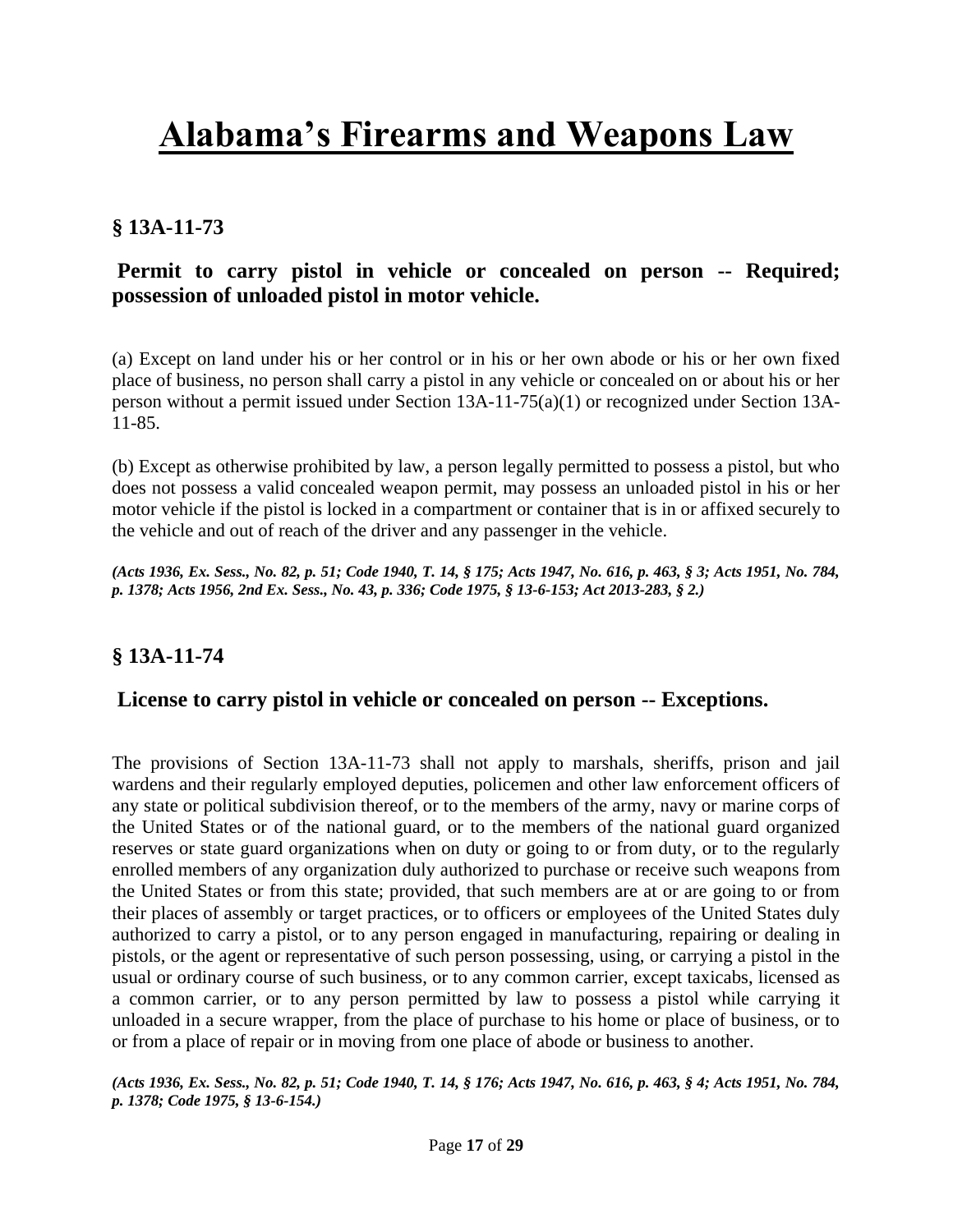## **§ 13A-11-73**

## **Permit to carry pistol in vehicle or concealed on person -- Required; possession of unloaded pistol in motor vehicle.**

(a) Except on land under his or her control or in his or her own abode or his or her own fixed place of business, no person shall carry a pistol in any vehicle or concealed on or about his or her person without a permit issued under [Section 13A-11-75\(a\)\(1\)](http://web2.westlaw.com/find/default.wl?mt=Alabama&db=1000002&rs=WLW13.10&docname=ALSTS13A-11-75&rp=%2ffind%2fdefault.wl&findtype=L&ordoc=9205659&tc=-1&vr=2.0&fn=_top&sv=Split&tf=-1&pbc=C120F9AD&utid=1) or recognized under [Section 13A-](http://web2.westlaw.com/find/default.wl?mt=Alabama&db=1000002&rs=WLW13.10&docname=ALSTS13A-11-85&rp=%2ffind%2fdefault.wl&findtype=L&ordoc=9205659&tc=-1&vr=2.0&fn=_top&sv=Split&tf=-1&pbc=C120F9AD&utid=1)[11-85.](http://web2.westlaw.com/find/default.wl?mt=Alabama&db=1000002&rs=WLW13.10&docname=ALSTS13A-11-85&rp=%2ffind%2fdefault.wl&findtype=L&ordoc=9205659&tc=-1&vr=2.0&fn=_top&sv=Split&tf=-1&pbc=C120F9AD&utid=1)

(b) Except as otherwise prohibited by law, a person legally permitted to possess a pistol, but who does not possess a valid concealed weapon permit, may possess an unloaded pistol in his or her motor vehicle if the pistol is locked in a compartment or container that is in or affixed securely to the vehicle and out of reach of the driver and any passenger in the vehicle.

*(Acts 1936, Ex. Sess., No. 82, p. 51; Code 1940, T. 14, § 175; Acts 1947, No. 616, p. 463, § 3; Acts 1951, No. 784, p. 1378; Acts 1956, 2nd Ex. Sess., No. 43, p. 336; Code 1975, § 13-6-153; [Act 2013-283, § 2.\)](http://web2.westlaw.com/find/default.wl?mt=Alabama&db=1077005&rs=WLW13.10&docname=UUID(IEC7F5F00C9-3B11E2A8D28-BF312CA3A38)&rp=%2ffind%2fdefault.wl&findtype=l&ordoc=9205659&tc=-1&vr=2.0&fn=_top&sv=Split&tf=-1&pbc=C120F9AD&utid=1)*

### **§ 13A-11-74**

### **License to carry pistol in vehicle or concealed on person -- Exceptions.**

The provisions of [Section 13A-11-73](http://web2.westlaw.com/find/default.wl?mt=Alabama&db=1000002&rs=WLW13.10&docname=ALSTS13A-11-73&rp=%2ffind%2fdefault.wl&findtype=L&ordoc=9205660&tc=-1&vr=2.0&fn=_top&sv=Split&tf=-1&pbc=778E7962&utid=1) shall not apply to marshals, sheriffs, prison and jail wardens and their regularly employed deputies, policemen and other law enforcement officers of any state or political subdivision thereof, or to the members of the army, navy or marine corps of the United States or of the national guard, or to the members of the national guard organized reserves or state guard organizations when on duty or going to or from duty, or to the regularly enrolled members of any organization duly authorized to purchase or receive such weapons from the United States or from this state; provided, that such members are at or are going to or from their places of assembly or target practices, or to officers or employees of the United States duly authorized to carry a pistol, or to any person engaged in manufacturing, repairing or dealing in pistols, or the agent or representative of such person possessing, using, or carrying a pistol in the usual or ordinary course of such business, or to any common carrier, except taxicabs, licensed as a common carrier, or to any person permitted by law to possess a pistol while carrying it unloaded in a secure wrapper, from the place of purchase to his home or place of business, or to or from a place of repair or in moving from one place of abode or business to another.

*(Acts 1936, Ex. Sess., No. 82, p. 51; Code 1940, T. 14, § 176; Acts 1947, No. 616, p. 463, § 4; Acts 1951, No. 784, p. 1378; Code 1975, § 13-6-154.)*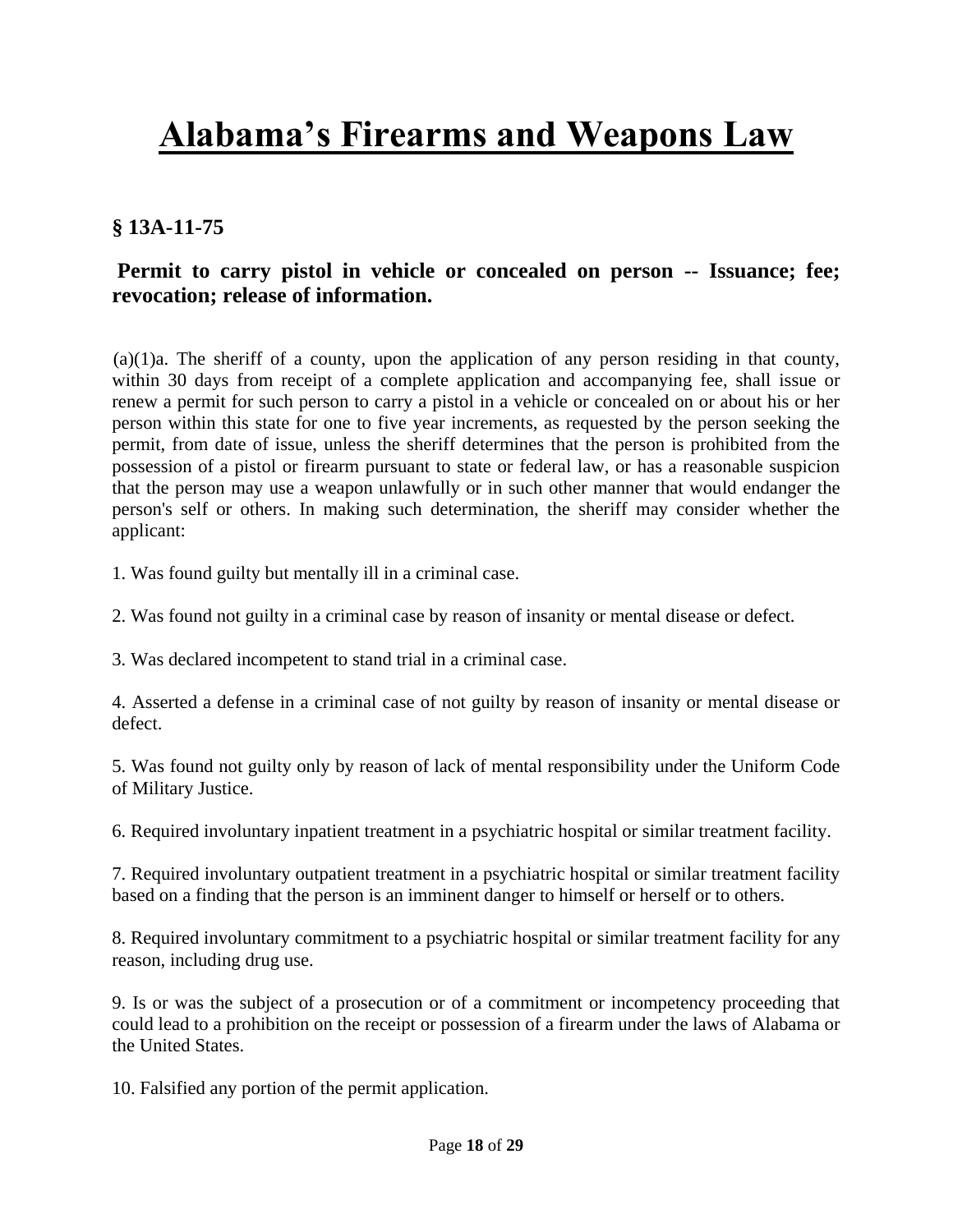## **§ 13A-11-75**

## **Permit to carry pistol in vehicle or concealed on person -- Issuance; fee; revocation; release of information.**

 (a)(1)a. The sheriff of a county, upon the application of any person residing in that county, within 30 days from receipt of a complete application and accompanying fee, shall issue or renew a permit for such person to carry a pistol in a vehicle or concealed on or about his or her person within this state for one to five year increments, as requested by the person seeking the permit, from date of issue, unless the sheriff determines that the person is prohibited from the possession of a pistol or firearm pursuant to state or federal law, or has a reasonable suspicion that the person may use a weapon unlawfully or in such other manner that would endanger the person's self or others. In making such determination, the sheriff may consider whether the applicant:

1. Was found guilty but mentally ill in a criminal case.

2. Was found not guilty in a criminal case by reason of insanity or mental disease or defect.

3. Was declared incompetent to stand trial in a criminal case.

4. Asserted a defense in a criminal case of not guilty by reason of insanity or mental disease or defect.

5. Was found not guilty only by reason of lack of mental responsibility under the Uniform Code of Military Justice.

6. Required involuntary inpatient treatment in a psychiatric hospital or similar treatment facility.

7. Required involuntary outpatient treatment in a psychiatric hospital or similar treatment facility based on a finding that the person is an imminent danger to himself or herself or to others.

8. Required involuntary commitment to a psychiatric hospital or similar treatment facility for any reason, including drug use.

9. Is or was the subject of a prosecution or of a commitment or incompetency proceeding that could lead to a prohibition on the receipt or possession of a firearm under the laws of Alabama or the United States.

10. Falsified any portion of the permit application.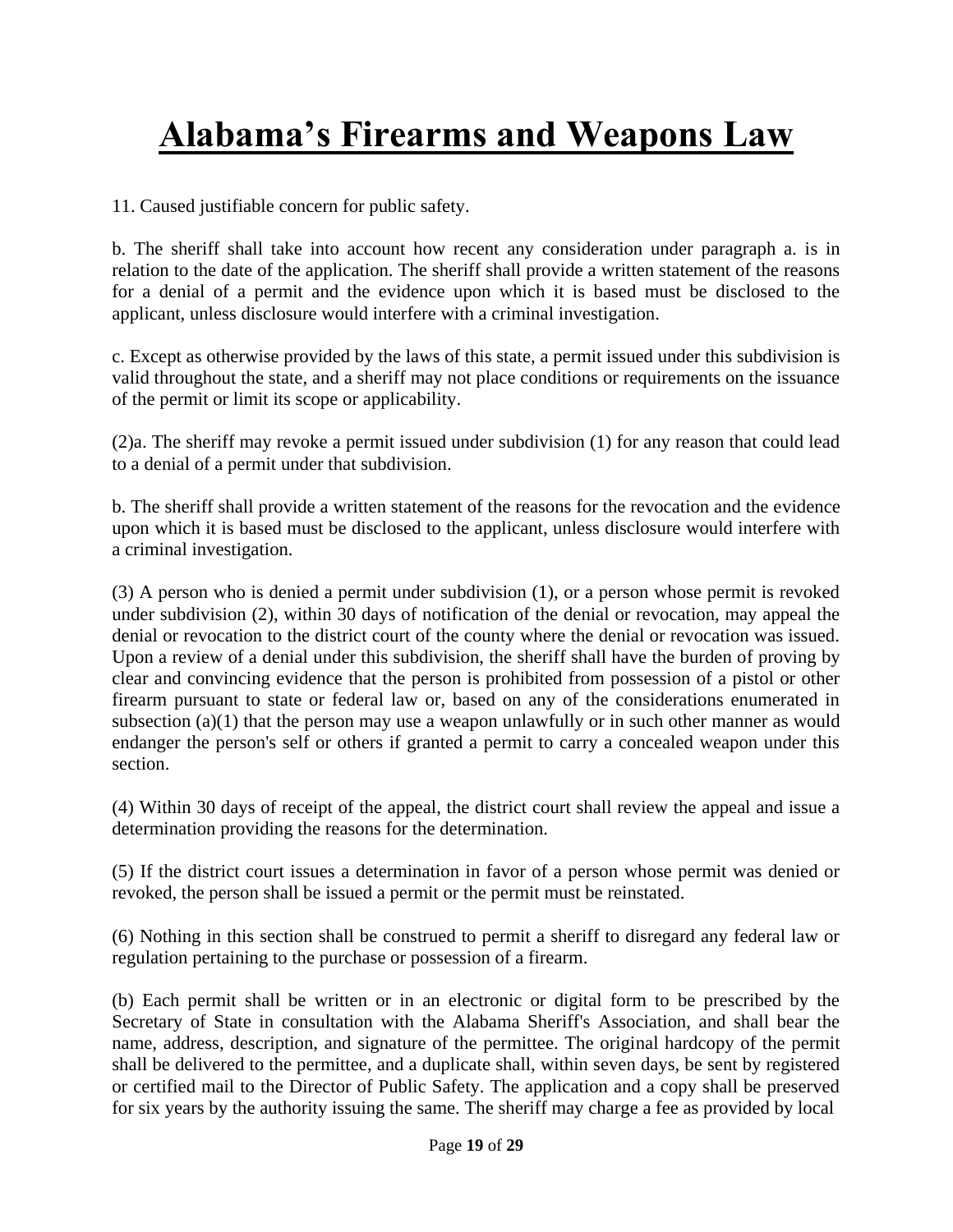11. Caused justifiable concern for public safety.

b. The sheriff shall take into account how recent any consideration under paragraph a. is in relation to the date of the application. The sheriff shall provide a written statement of the reasons for a denial of a permit and the evidence upon which it is based must be disclosed to the applicant, unless disclosure would interfere with a criminal investigation.

c. Except as otherwise provided by the laws of this state, a permit issued under this subdivision is valid throughout the state, and a sheriff may not place conditions or requirements on the issuance of the permit or limit its scope or applicability.

(2)a. The sheriff may revoke a permit issued under subdivision (1) for any reason that could lead to a denial of a permit under that subdivision.

b. The sheriff shall provide a written statement of the reasons for the revocation and the evidence upon which it is based must be disclosed to the applicant, unless disclosure would interfere with a criminal investigation.

(3) A person who is denied a permit under subdivision (1), or a person whose permit is revoked under subdivision (2), within 30 days of notification of the denial or revocation, may appeal the denial or revocation to the district court of the county where the denial or revocation was issued. Upon a review of a denial under this subdivision, the sheriff shall have the burden of proving by clear and convincing evidence that the person is prohibited from possession of a pistol or other firearm pursuant to state or federal law or, based on any of the considerations enumerated in subsection (a)(1) that the person may use a weapon unlawfully or in such other manner as would endanger the person's self or others if granted a permit to carry a concealed weapon under this section.

(4) Within 30 days of receipt of the appeal, the district court shall review the appeal and issue a determination providing the reasons for the determination.

(5) If the district court issues a determination in favor of a person whose permit was denied or revoked, the person shall be issued a permit or the permit must be reinstated.

(6) Nothing in this section shall be construed to permit a sheriff to disregard any federal law or regulation pertaining to the purchase or possession of a firearm.

(b) Each permit shall be written or in an electronic or digital form to be prescribed by the Secretary of State in consultation with the Alabama Sheriff's Association, and shall bear the name, address, description, and signature of the permittee. The original hardcopy of the permit shall be delivered to the permittee, and a duplicate shall, within seven days, be sent by registered or certified mail to the Director of Public Safety. The application and a copy shall be preserved for six years by the authority issuing the same. The sheriff may charge a fee as provided by local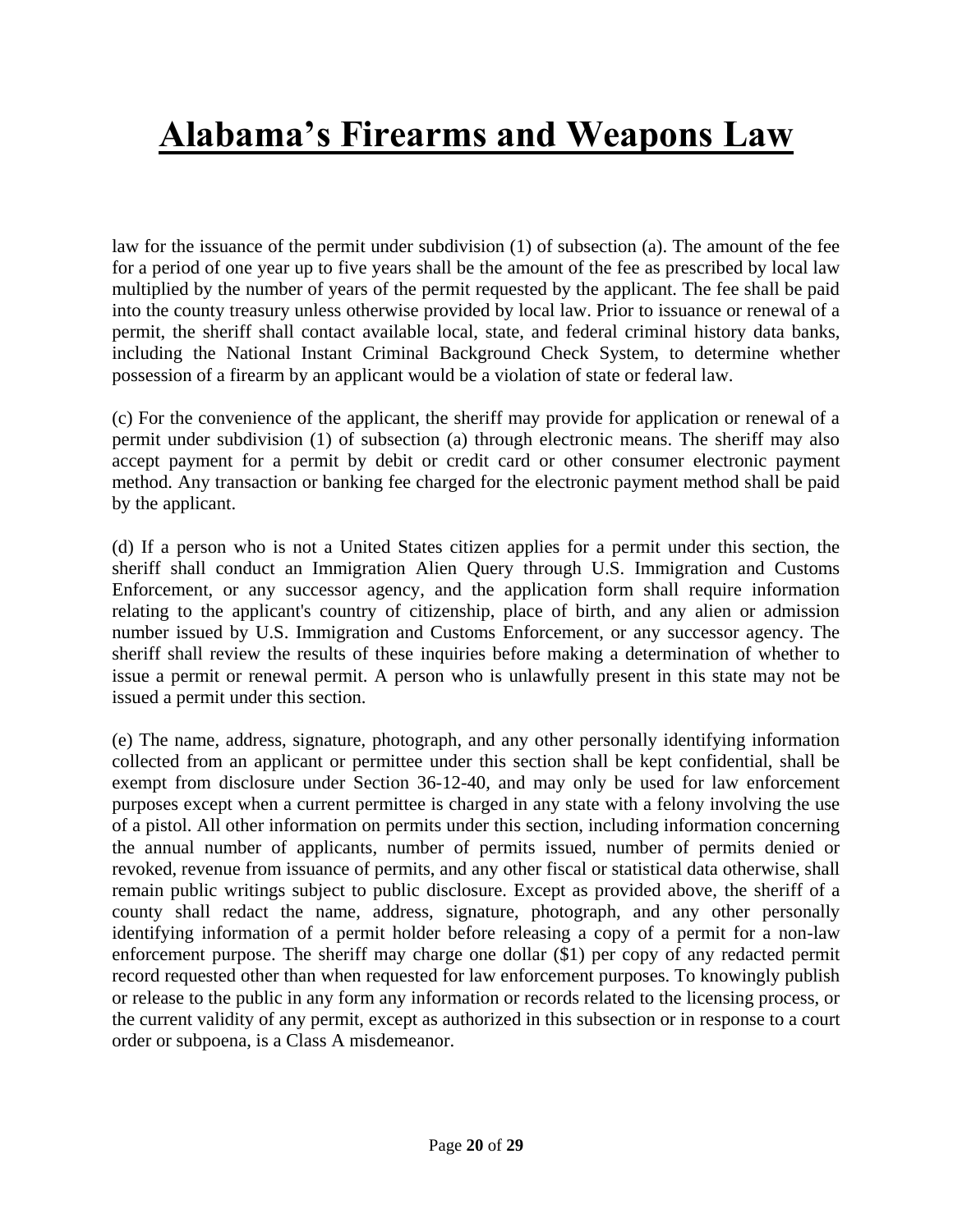law for the issuance of the permit under subdivision (1) of subsection (a). The amount of the fee for a period of one year up to five years shall be the amount of the fee as prescribed by local law multiplied by the number of years of the permit requested by the applicant. The fee shall be paid into the county treasury unless otherwise provided by local law. Prior to issuance or renewal of a permit, the sheriff shall contact available local, state, and federal criminal history data banks, including the National Instant Criminal Background Check System, to determine whether possession of a firearm by an applicant would be a violation of state or federal law.

(c) For the convenience of the applicant, the sheriff may provide for application or renewal of a permit under subdivision (1) of subsection (a) through electronic means. The sheriff may also accept payment for a permit by debit or credit card or other consumer electronic payment method. Any transaction or banking fee charged for the electronic payment method shall be paid by the applicant.

(d) If a person who is not a United States citizen applies for a permit under this section, the sheriff shall conduct an Immigration Alien Query through U.S. Immigration and Customs Enforcement, or any successor agency, and the application form shall require information relating to the applicant's country of citizenship, place of birth, and any alien or admission number issued by U.S. Immigration and Customs Enforcement, or any successor agency. The sheriff shall review the results of these inquiries before making a determination of whether to issue a permit or renewal permit. A person who is unlawfully present in this state may not be issued a permit under this section.

(e) The name, address, signature, photograph, and any other personally identifying information collected from an applicant or permittee under this section shall be kept confidential, shall be exempt from disclosure under [Section 36-12-40,](http://web2.westlaw.com/find/default.wl?mt=Alabama&db=1000002&rs=WLW13.10&docname=ALSTS36-12-40&rp=%2ffind%2fdefault.wl&findtype=L&ordoc=9205661&tc=-1&vr=2.0&fn=_top&sv=Split&tf=-1&pbc=B0E63549&utid=1) and may only be used for law enforcement purposes except when a current permittee is charged in any state with a felony involving the use of a pistol. All other information on permits under this section, including information concerning the annual number of applicants, number of permits issued, number of permits denied or revoked, revenue from issuance of permits, and any other fiscal or statistical data otherwise, shall remain public writings subject to public disclosure. Except as provided above, the sheriff of a county shall redact the name, address, signature, photograph, and any other personally identifying information of a permit holder before releasing a copy of a permit for a non-law enforcement purpose. The sheriff may charge one dollar (\$1) per copy of any redacted permit record requested other than when requested for law enforcement purposes. To knowingly publish or release to the public in any form any information or records related to the licensing process, or the current validity of any permit, except as authorized in this subsection or in response to a court order or subpoena, is a Class A misdemeanor.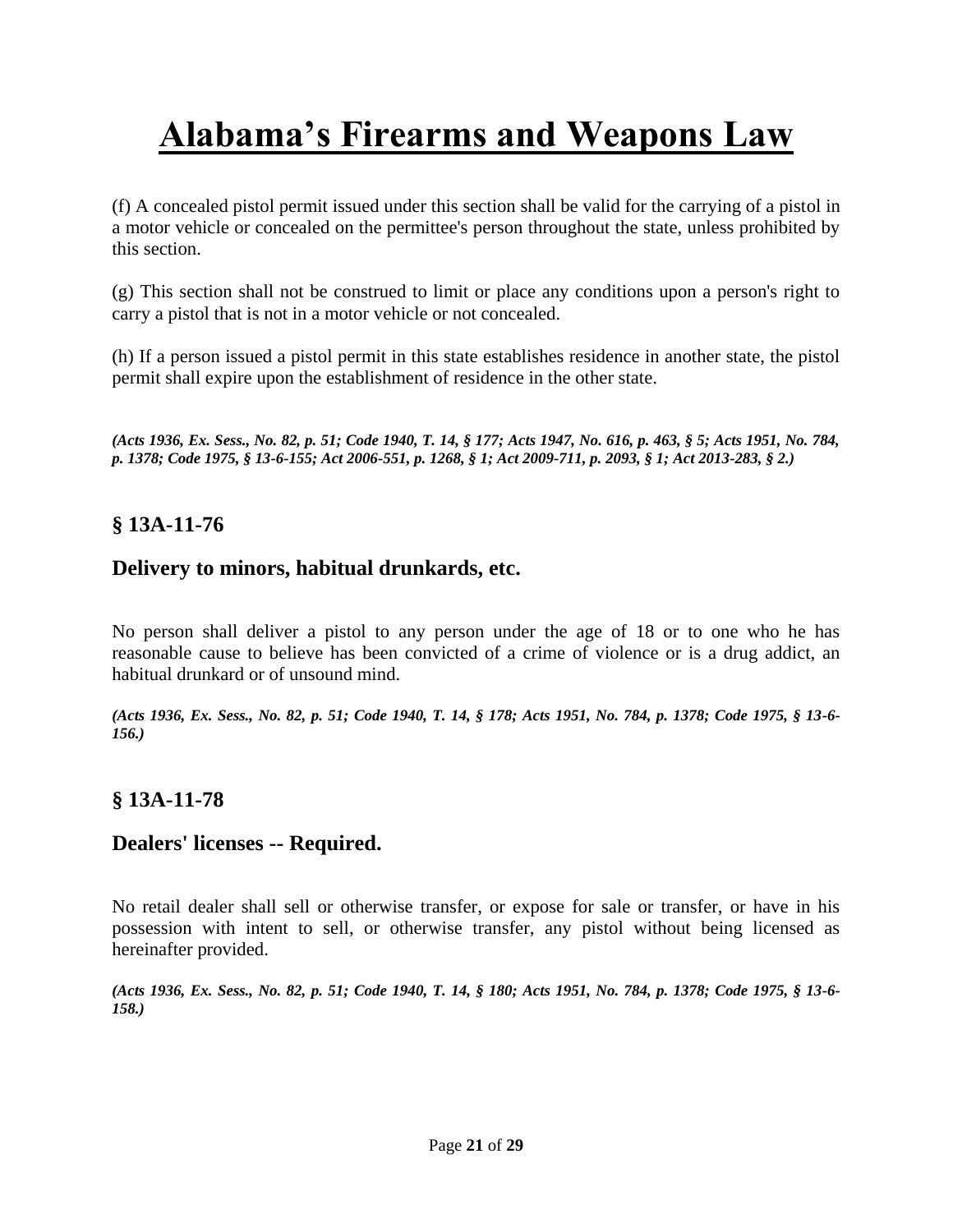(f) A concealed pistol permit issued under this section shall be valid for the carrying of a pistol in a motor vehicle or concealed on the permittee's person throughout the state, unless prohibited by this section.

(g) This section shall not be construed to limit or place any conditions upon a person's right to carry a pistol that is not in a motor vehicle or not concealed.

(h) If a person issued a pistol permit in this state establishes residence in another state, the pistol permit shall expire upon the establishment of residence in the other state.

*(Acts 1936, Ex. Sess., No. 82, p. 51; Code 1940, T. 14, § 177; Acts 1947, No. 616, p. 463, § 5; Acts 1951, No. 784, p. 1378; Code 1975, § 13-6-155[; Act 2006-551, p. 1268, § 1;](http://web2.westlaw.com/find/default.wl?mt=Alabama&db=1077005&rs=WLW13.10&docname=UUID(IA0E073F0E5-D511DA91B7D-03A70918862)&rp=%2ffind%2fdefault.wl&findtype=l&ordoc=9205661&tc=-1&vr=2.0&fn=_top&sv=Split&tf=-1&pbc=B0E63549&utid=1) [Act 2009-711, p. 2093, § 1;](http://web2.westlaw.com/find/default.wl?mt=Alabama&db=1077005&rs=WLW13.10&docname=UUID(IBD3B3DF051-CF11DEB9FAA-DFD500AA259)&rp=%2ffind%2fdefault.wl&findtype=l&ordoc=9205661&tc=-1&vr=2.0&fn=_top&sv=Split&tf=-1&pbc=B0E63549&utid=1) [Act 2013-283, § 2.\)](http://web2.westlaw.com/find/default.wl?mt=Alabama&db=1077005&rs=WLW13.10&docname=UUID(IEC7F5F00C9-3B11E2A8D28-BF312CA3A38)&rp=%2ffind%2fdefault.wl&findtype=l&ordoc=9205661&tc=-1&vr=2.0&fn=_top&sv=Split&tf=-1&pbc=B0E63549&utid=1)*

### **§ 13A-11-76**

### **Delivery to minors, habitual drunkards, etc.**

No person shall deliver a pistol to any person under the age of 18 or to one who he has reasonable cause to believe has been convicted of a crime of violence or is a drug addict, an habitual drunkard or of unsound mind.

*(Acts 1936, Ex. Sess., No. 82, p. 51; Code 1940, T. 14, § 178; Acts 1951, No. 784, p. 1378; Code 1975, § 13-6- 156.)*

### **§ 13A-11-78**

## **Dealers' licenses -- Required.**

No retail dealer shall sell or otherwise transfer, or expose for sale or transfer, or have in his possession with intent to sell, or otherwise transfer, any pistol without being licensed as hereinafter provided.

*(Acts 1936, Ex. Sess., No. 82, p. 51; Code 1940, T. 14, § 180; Acts 1951, No. 784, p. 1378; Code 1975, § 13-6- 158.)*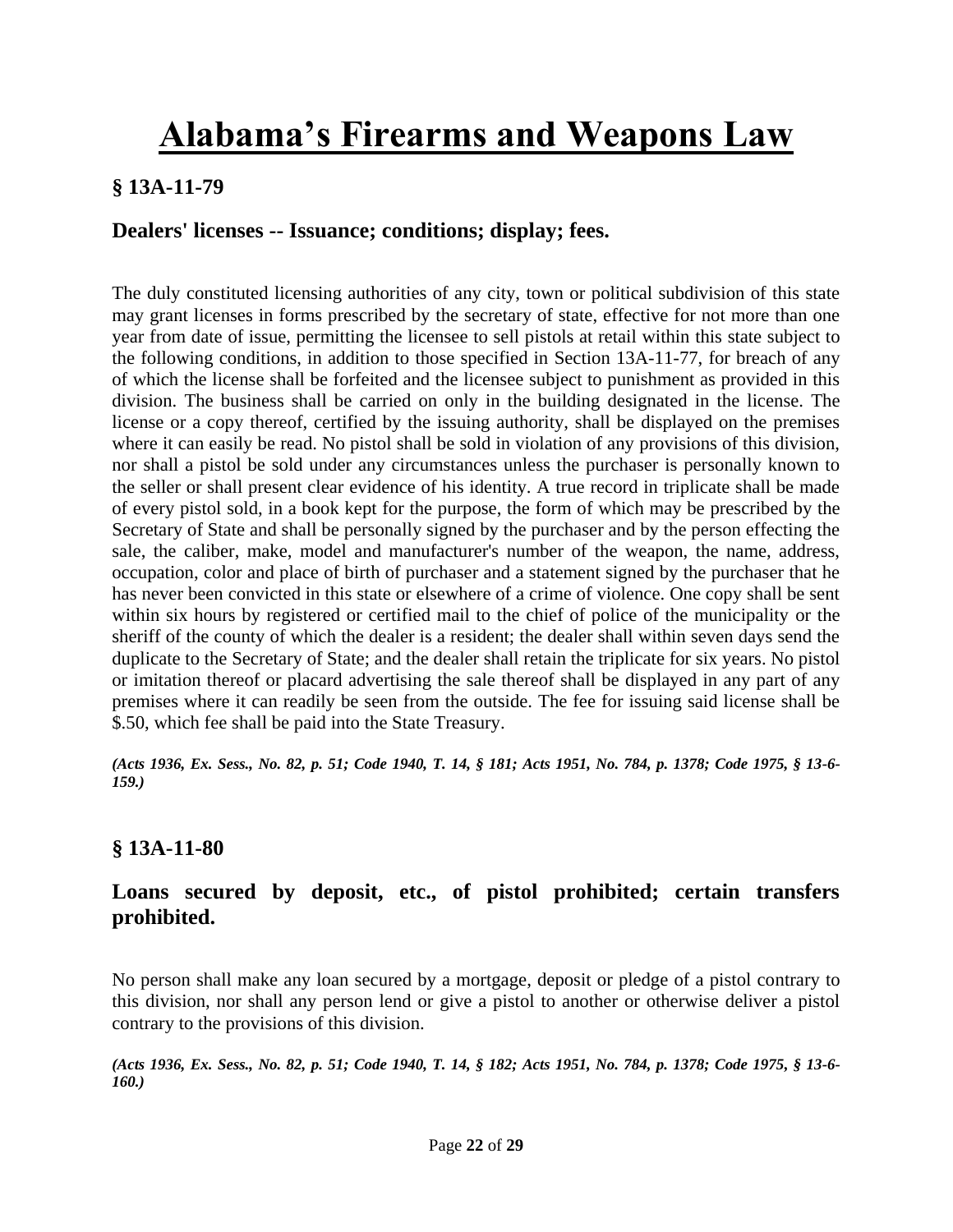## **§ 13A-11-79**

## **Dealers' licenses -- Issuance; conditions; display; fees.**

The duly constituted licensing authorities of any city, town or political subdivision of this state may grant licenses in forms prescribed by the secretary of state, effective for not more than one year from date of issue, permitting the licensee to sell pistols at retail within this state subject to the following conditions, in addition to those specified in [Section 13A-11-77,](http://web2.westlaw.com/find/default.wl?mt=Alabama&db=1000002&rs=WLW13.10&docname=ALSTS13A-11-77&rp=%2ffind%2fdefault.wl&findtype=L&ordoc=9205665&tc=-1&vr=2.0&fn=_top&sv=Split&tf=-1&pbc=12496C64&utid=1) for breach of any of which the license shall be forfeited and the licensee subject to punishment as provided in this division. The business shall be carried on only in the building designated in the license. The license or a copy thereof, certified by the issuing authority, shall be displayed on the premises where it can easily be read. No pistol shall be sold in violation of any provisions of this division, nor shall a pistol be sold under any circumstances unless the purchaser is personally known to the seller or shall present clear evidence of his identity. A true record in triplicate shall be made of every pistol sold, in a book kept for the purpose, the form of which may be prescribed by the Secretary of State and shall be personally signed by the purchaser and by the person effecting the sale, the caliber, make, model and manufacturer's number of the weapon, the name, address, occupation, color and place of birth of purchaser and a statement signed by the purchaser that he has never been convicted in this state or elsewhere of a crime of violence. One copy shall be sent within six hours by registered or certified mail to the chief of police of the municipality or the sheriff of the county of which the dealer is a resident; the dealer shall within seven days send the duplicate to the Secretary of State; and the dealer shall retain the triplicate for six years. No pistol or imitation thereof or placard advertising the sale thereof shall be displayed in any part of any premises where it can readily be seen from the outside. The fee for issuing said license shall be \$.50, which fee shall be paid into the State Treasury.

*(Acts 1936, Ex. Sess., No. 82, p. 51; Code 1940, T. 14, § 181; Acts 1951, No. 784, p. 1378; Code 1975, § 13-6- 159.)*

#### **§ 13A-11-80**

## **Loans secured by deposit, etc., of pistol prohibited; certain transfers prohibited.**

No person shall make any loan secured by a mortgage, deposit or pledge of a pistol contrary to this division, nor shall any person lend or give a pistol to another or otherwise deliver a pistol contrary to the provisions of this division.

*(Acts 1936, Ex. Sess., No. 82, p. 51; Code 1940, T. 14, § 182; Acts 1951, No. 784, p. 1378; Code 1975, § 13-6- 160.)*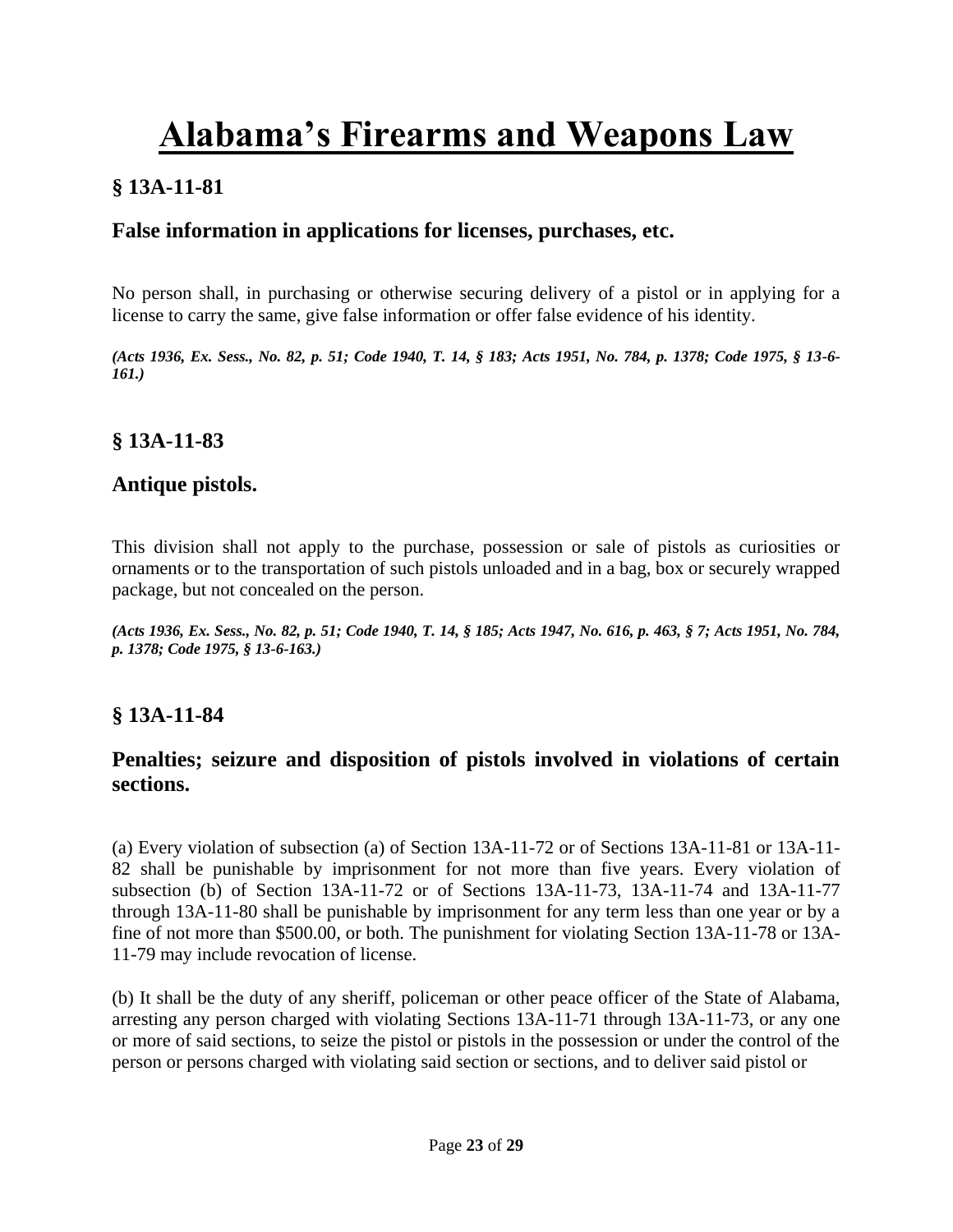## **§ 13A-11-81**

## **False information in applications for licenses, purchases, etc.**

No person shall, in purchasing or otherwise securing delivery of a pistol or in applying for a license to carry the same, give false information or offer false evidence of his identity.

*(Acts 1936, Ex. Sess., No. 82, p. 51; Code 1940, T. 14, § 183; Acts 1951, No. 784, p. 1378; Code 1975, § 13-6- 161.)*

### **§ 13A-11-83**

#### **Antique pistols.**

This division shall not apply to the purchase, possession or sale of pistols as curiosities or ornaments or to the transportation of such pistols unloaded and in a bag, box or securely wrapped package, but not concealed on the person.

*(Acts 1936, Ex. Sess., No. 82, p. 51; Code 1940, T. 14, § 185; Acts 1947, No. 616, p. 463, § 7; Acts 1951, No. 784, p. 1378; Code 1975, § 13-6-163.)*

### **§ 13A-11-84**

### **Penalties; seizure and disposition of pistols involved in violations of certain sections.**

(a) Every violation of subsection (a) of [Section 13A-11-72](http://web2.westlaw.com/find/default.wl?mt=Alabama&db=1000002&rs=WLW13.10&docname=ALSTS13A-11-72&rp=%2ffind%2fdefault.wl&findtype=L&ordoc=9205670&tc=-1&vr=2.0&fn=_top&sv=Split&tf=-1&referencepositiontype=T&pbc=B504E514&referenceposition=SP%3b8b3b0000958a4&utid=1) or of [Sections 13A-11-81](http://web2.westlaw.com/find/default.wl?mt=Alabama&db=1000002&rs=WLW13.10&docname=ALSTS13A-11-81&rp=%2ffind%2fdefault.wl&findtype=L&ordoc=9205670&tc=-1&vr=2.0&fn=_top&sv=Split&tf=-1&pbc=B504E514&utid=1) or 13A-11- 82 shall be punishable by imprisonment for not more than five years. Every violation of [subsection \(b\) of Section 13A-11-72](http://web2.westlaw.com/find/default.wl?mt=Alabama&db=1000002&rs=WLW13.10&docname=ALSTS13A-11-72&rp=%2ffind%2fdefault.wl&findtype=L&ordoc=9205670&tc=-1&vr=2.0&fn=_top&sv=Split&tf=-1&referencepositiontype=T&pbc=B504E514&referenceposition=SP%3ba83b000018c76&utid=1) or of [Sections 13A-11-73,](http://web2.westlaw.com/find/default.wl?mt=Alabama&db=1000002&rs=WLW13.10&docname=ALSTS13A-11-73&rp=%2ffind%2fdefault.wl&findtype=L&ordoc=9205670&tc=-1&vr=2.0&fn=_top&sv=Split&tf=-1&pbc=B504E514&utid=1) 13A-11-74 and 13A-11-77 through 13A-11-80 shall be punishable by imprisonment for any term less than one year or by a fine of not more than \$500.00, or both. The punishment for violating [Section 13A-11-78](http://web2.westlaw.com/find/default.wl?mt=Alabama&db=1000002&rs=WLW13.10&docname=ALSTS13A-11-78&rp=%2ffind%2fdefault.wl&findtype=L&ordoc=9205670&tc=-1&vr=2.0&fn=_top&sv=Split&tf=-1&pbc=B504E514&utid=1) or [13A-](http://web2.westlaw.com/find/default.wl?mt=Alabama&db=1000002&rs=WLW13.10&docname=ALSTS13A-11-79&rp=%2ffind%2fdefault.wl&findtype=L&ordoc=9205670&tc=-1&vr=2.0&fn=_top&sv=Split&tf=-1&pbc=B504E514&utid=1)[11-79](http://web2.westlaw.com/find/default.wl?mt=Alabama&db=1000002&rs=WLW13.10&docname=ALSTS13A-11-79&rp=%2ffind%2fdefault.wl&findtype=L&ordoc=9205670&tc=-1&vr=2.0&fn=_top&sv=Split&tf=-1&pbc=B504E514&utid=1) may include revocation of license.

(b) It shall be the duty of any sheriff, policeman or other peace officer of the State of Alabama, arresting any person charged with violating [Sections 13A-11-71](http://web2.westlaw.com/find/default.wl?mt=Alabama&db=1000002&rs=WLW13.10&docname=ALSTS13A-11-71&rp=%2ffind%2fdefault.wl&findtype=L&ordoc=9205670&tc=-1&vr=2.0&fn=_top&sv=Split&tf=-1&pbc=B504E514&utid=1) through [13A-11-73,](http://web2.westlaw.com/find/default.wl?mt=Alabama&db=1000002&rs=WLW13.10&docname=ALSTS13A-11-73&rp=%2ffind%2fdefault.wl&findtype=L&ordoc=9205670&tc=-1&vr=2.0&fn=_top&sv=Split&tf=-1&pbc=B504E514&utid=1) or any one or more of said sections, to seize the pistol or pistols in the possession or under the control of the person or persons charged with violating said section or sections, and to deliver said pistol or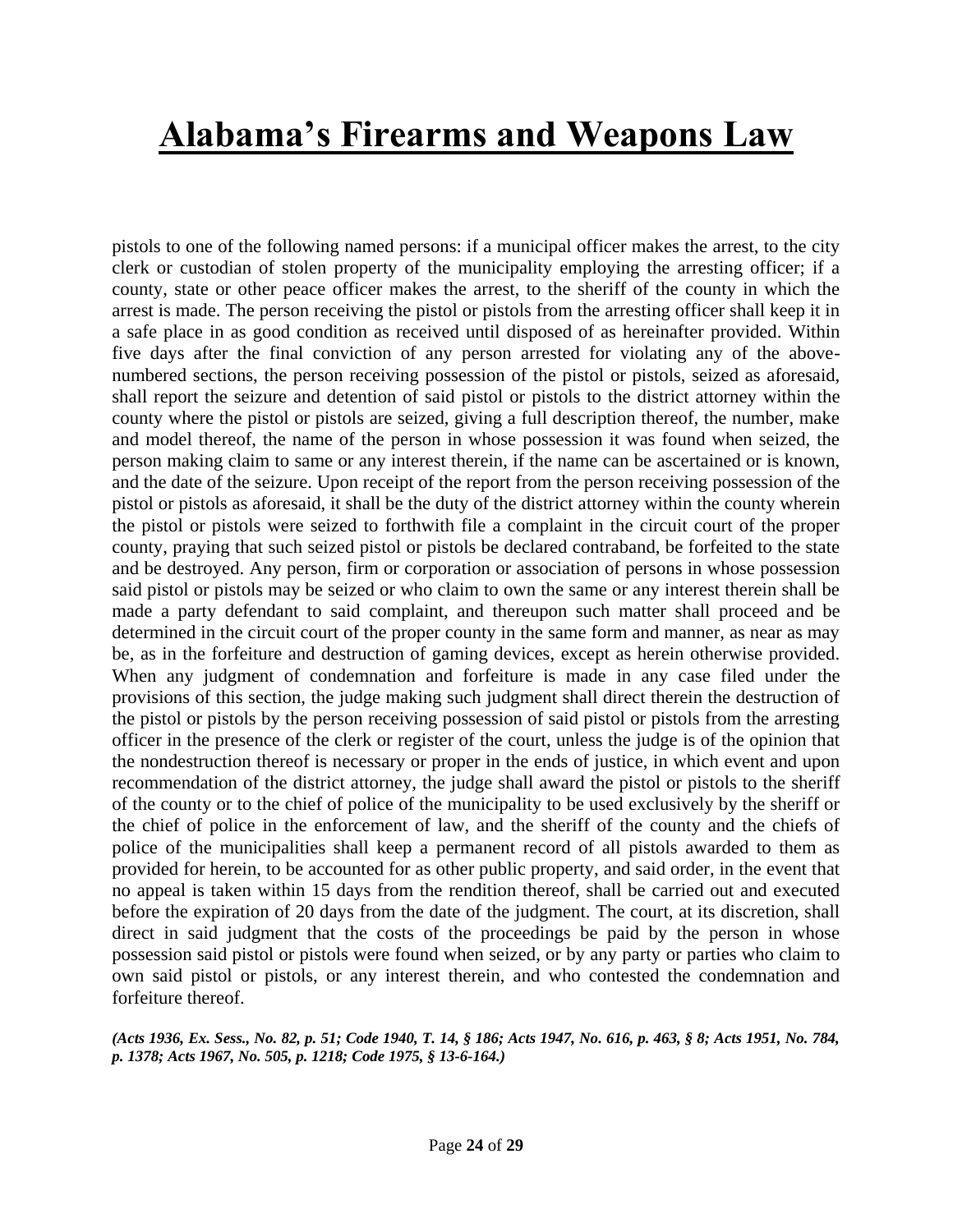pistols to one of the following named persons: if a municipal officer makes the arrest, to the city clerk or custodian of stolen property of the municipality employing the arresting officer; if a county, state or other peace officer makes the arrest, to the sheriff of the county in which the arrest is made. The person receiving the pistol or pistols from the arresting officer shall keep it in a safe place in as good condition as received until disposed of as hereinafter provided. Within five days after the final conviction of any person arrested for violating any of the abovenumbered sections, the person receiving possession of the pistol or pistols, seized as aforesaid, shall report the seizure and detention of said pistol or pistols to the district attorney within the county where the pistol or pistols are seized, giving a full description thereof, the number, make and model thereof, the name of the person in whose possession it was found when seized, the person making claim to same or any interest therein, if the name can be ascertained or is known, and the date of the seizure. Upon receipt of the report from the person receiving possession of the pistol or pistols as aforesaid, it shall be the duty of the district attorney within the county wherein the pistol or pistols were seized to forthwith file a complaint in the circuit court of the proper county, praying that such seized pistol or pistols be declared contraband, be forfeited to the state and be destroyed. Any person, firm or corporation or association of persons in whose possession said pistol or pistols may be seized or who claim to own the same or any interest therein shall be made a party defendant to said complaint, and thereupon such matter shall proceed and be determined in the circuit court of the proper county in the same form and manner, as near as may be, as in the forfeiture and destruction of gaming devices, except as herein otherwise provided. When any judgment of condemnation and forfeiture is made in any case filed under the provisions of this section, the judge making such judgment shall direct therein the destruction of the pistol or pistols by the person receiving possession of said pistol or pistols from the arresting officer in the presence of the clerk or register of the court, unless the judge is of the opinion that the nondestruction thereof is necessary or proper in the ends of justice, in which event and upon recommendation of the district attorney, the judge shall award the pistol or pistols to the sheriff of the county or to the chief of police of the municipality to be used exclusively by the sheriff or the chief of police in the enforcement of law, and the sheriff of the county and the chiefs of police of the municipalities shall keep a permanent record of all pistols awarded to them as provided for herein, to be accounted for as other public property, and said order, in the event that no appeal is taken within 15 days from the rendition thereof, shall be carried out and executed before the expiration of 20 days from the date of the judgment. The court, at its discretion, shall direct in said judgment that the costs of the proceedings be paid by the person in whose possession said pistol or pistols were found when seized, or by any party or parties who claim to own said pistol or pistols, or any interest therein, and who contested the condemnation and forfeiture thereof.

#### *(Acts 1936, Ex. Sess., No. 82, p. 51; Code 1940, T. 14, § 186; Acts 1947, No. 616, p. 463, § 8; Acts 1951, No. 784, p. 1378; Acts 1967, No. 505, p. 1218; Code 1975, § 13-6-164.)*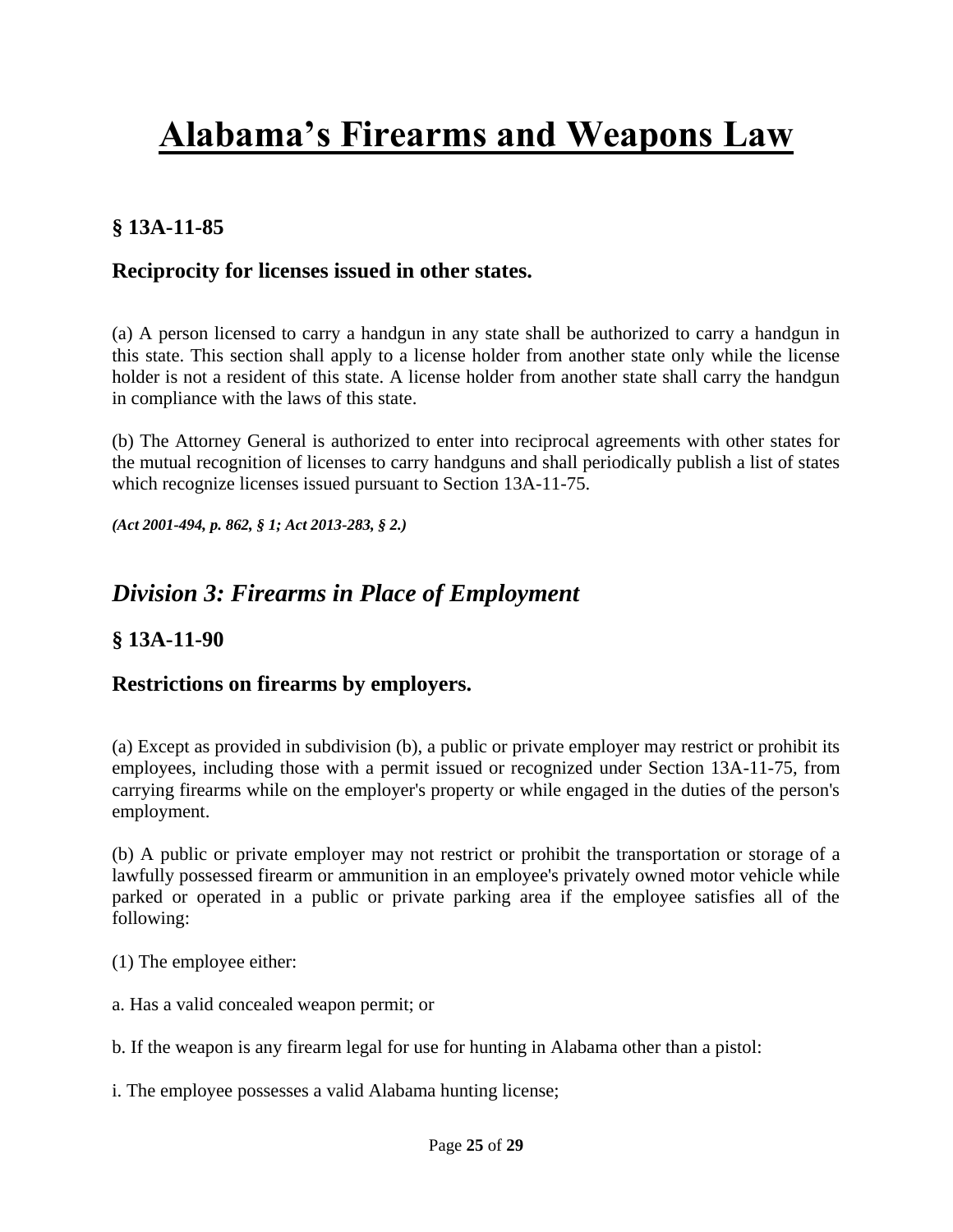## **§ 13A-11-85**

### **Reciprocity for licenses issued in other states.**

(a) A person licensed to carry a handgun in any state shall be authorized to carry a handgun in this state. This section shall apply to a license holder from another state only while the license holder is not a resident of this state. A license holder from another state shall carry the handgun in compliance with the laws of this state.

(b) The Attorney General is authorized to enter into reciprocal agreements with other states for the mutual recognition of licenses to carry handguns and shall periodically publish a list of states which recognize licenses issued pursuant to [Section 13A-11-75.](http://web2.westlaw.com/find/default.wl?mt=Alabama&db=1000002&rs=WLW13.10&docname=ALSTS13A-11-75&rp=%2ffind%2fdefault.wl&findtype=L&ordoc=10547179&tc=-1&vr=2.0&fn=_top&sv=Split&tf=-1&pbc=FBAEACEF&utid=1)

*[\(Act 2001-494, p. 862, § 1;](http://web2.westlaw.com/find/default.wl?mt=Alabama&db=1077005&rs=WLW13.10&docname=UUID(IC832B48C5B-464762952CC-CCFA3795F59)&rp=%2ffind%2fdefault.wl&findtype=l&ordoc=10547179&tc=-1&vr=2.0&fn=_top&sv=Split&tf=-1&pbc=FBAEACEF&utid=1) [Act 2013-283, § 2.\)](http://web2.westlaw.com/find/default.wl?mt=Alabama&db=1077005&rs=WLW13.10&docname=UUID(IEC7F5F00C9-3B11E2A8D28-BF312CA3A38)&rp=%2ffind%2fdefault.wl&findtype=l&ordoc=10547179&tc=-1&vr=2.0&fn=_top&sv=Split&tf=-1&pbc=FBAEACEF&utid=1)*

## *Division 3: Firearms in Place of Employment*

### **§ 13A-11-90**

#### **Restrictions on firearms by employers.**

(a) Except as provided in subdivision (b), a public or private employer may restrict or prohibit its employees, including those with a permit issued or recognized under Section 13A-11-75, from carrying firearms while on the employer's property or while engaged in the duties of the person's employment.

(b) A public or private employer may not restrict or prohibit the transportation or storage of a lawfully possessed firearm or ammunition in an employee's privately owned motor vehicle while parked or operated in a public or private parking area if the employee satisfies all of the following:

(1) The employee either:

a. Has a valid concealed weapon permit; or

b. If the weapon is any firearm legal for use for hunting in Alabama other than a pistol:

i. The employee possesses a valid Alabama hunting license;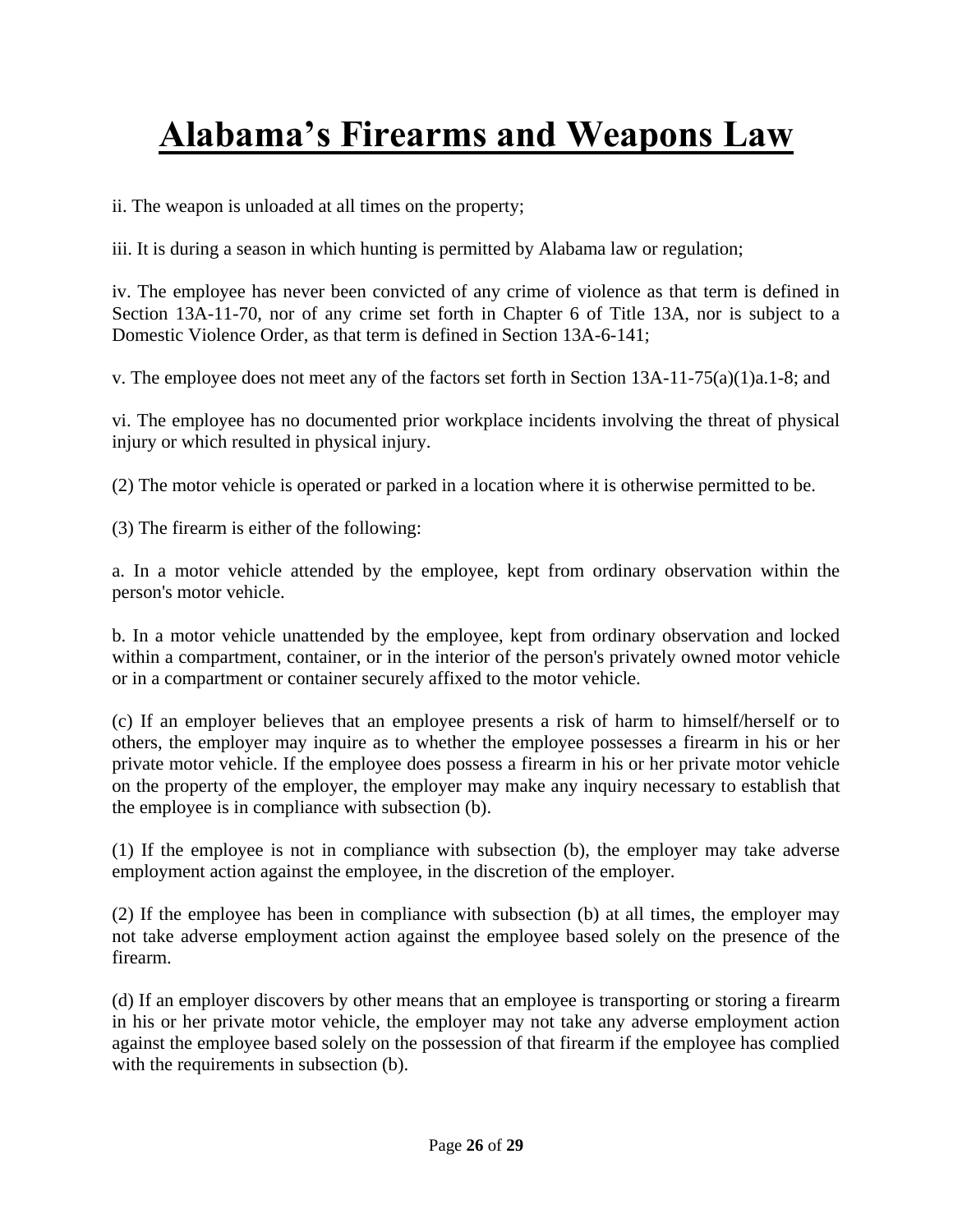ii. The weapon is unloaded at all times on the property;

iii. It is during a season in which hunting is permitted by Alabama law or regulation;

iv. The employee has never been convicted of any crime of violence as that term is defined in Section 13A-11-70, nor of any crime set forth in Chapter 6 of Title 13A, nor is subject to a Domestic Violence Order, as that term is defined in Section 13A-6-141;

v. The employee does not meet any of the factors set forth in Section 13A-11-75(a)(1)a.1-8; and

vi. The employee has no documented prior workplace incidents involving the threat of physical injury or which resulted in physical injury.

(2) The motor vehicle is operated or parked in a location where it is otherwise permitted to be.

(3) The firearm is either of the following:

a. In a motor vehicle attended by the employee, kept from ordinary observation within the person's motor vehicle.

b. In a motor vehicle unattended by the employee, kept from ordinary observation and locked within a compartment, container, or in the interior of the person's privately owned motor vehicle or in a compartment or container securely affixed to the motor vehicle.

(c) If an employer believes that an employee presents a risk of harm to himself/herself or to others, the employer may inquire as to whether the employee possesses a firearm in his or her private motor vehicle. If the employee does possess a firearm in his or her private motor vehicle on the property of the employer, the employer may make any inquiry necessary to establish that the employee is in compliance with subsection (b).

(1) If the employee is not in compliance with subsection (b), the employer may take adverse employment action against the employee, in the discretion of the employer.

(2) If the employee has been in compliance with subsection (b) at all times, the employer may not take adverse employment action against the employee based solely on the presence of the firearm.

(d) If an employer discovers by other means that an employee is transporting or storing a firearm in his or her private motor vehicle, the employer may not take any adverse employment action against the employee based solely on the possession of that firearm if the employee has complied with the requirements in subsection (b).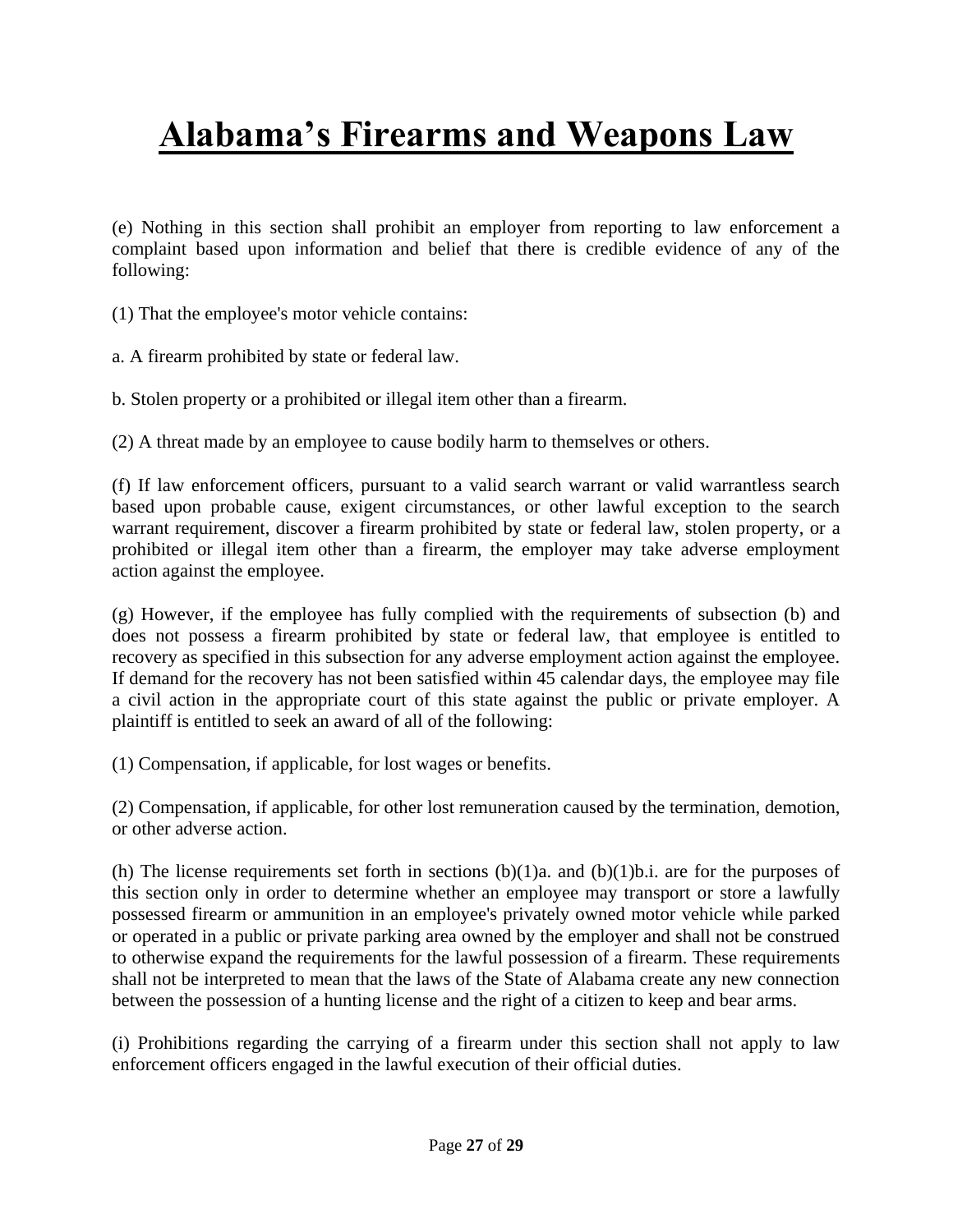(e) Nothing in this section shall prohibit an employer from reporting to law enforcement a complaint based upon information and belief that there is credible evidence of any of the following:

(1) That the employee's motor vehicle contains:

a. A firearm prohibited by state or federal law.

b. Stolen property or a prohibited or illegal item other than a firearm.

(2) A threat made by an employee to cause bodily harm to themselves or others.

(f) If law enforcement officers, pursuant to a valid search warrant or valid warrantless search based upon probable cause, exigent circumstances, or other lawful exception to the search warrant requirement, discover a firearm prohibited by state or federal law, stolen property, or a prohibited or illegal item other than a firearm, the employer may take adverse employment action against the employee.

(g) However, if the employee has fully complied with the requirements of subsection (b) and does not possess a firearm prohibited by state or federal law, that employee is entitled to recovery as specified in this subsection for any adverse employment action against the employee. If demand for the recovery has not been satisfied within 45 calendar days, the employee may file a civil action in the appropriate court of this state against the public or private employer. A plaintiff is entitled to seek an award of all of the following:

(1) Compensation, if applicable, for lost wages or benefits.

(2) Compensation, if applicable, for other lost remuneration caused by the termination, demotion, or other adverse action.

(h) The license requirements set forth in sections (b)(1)a. and (b)(1)b.i. are for the purposes of this section only in order to determine whether an employee may transport or store a lawfully possessed firearm or ammunition in an employee's privately owned motor vehicle while parked or operated in a public or private parking area owned by the employer and shall not be construed to otherwise expand the requirements for the lawful possession of a firearm. These requirements shall not be interpreted to mean that the laws of the State of Alabama create any new connection between the possession of a hunting license and the right of a citizen to keep and bear arms.

(i) Prohibitions regarding the carrying of a firearm under this section shall not apply to law enforcement officers engaged in the lawful execution of their official duties.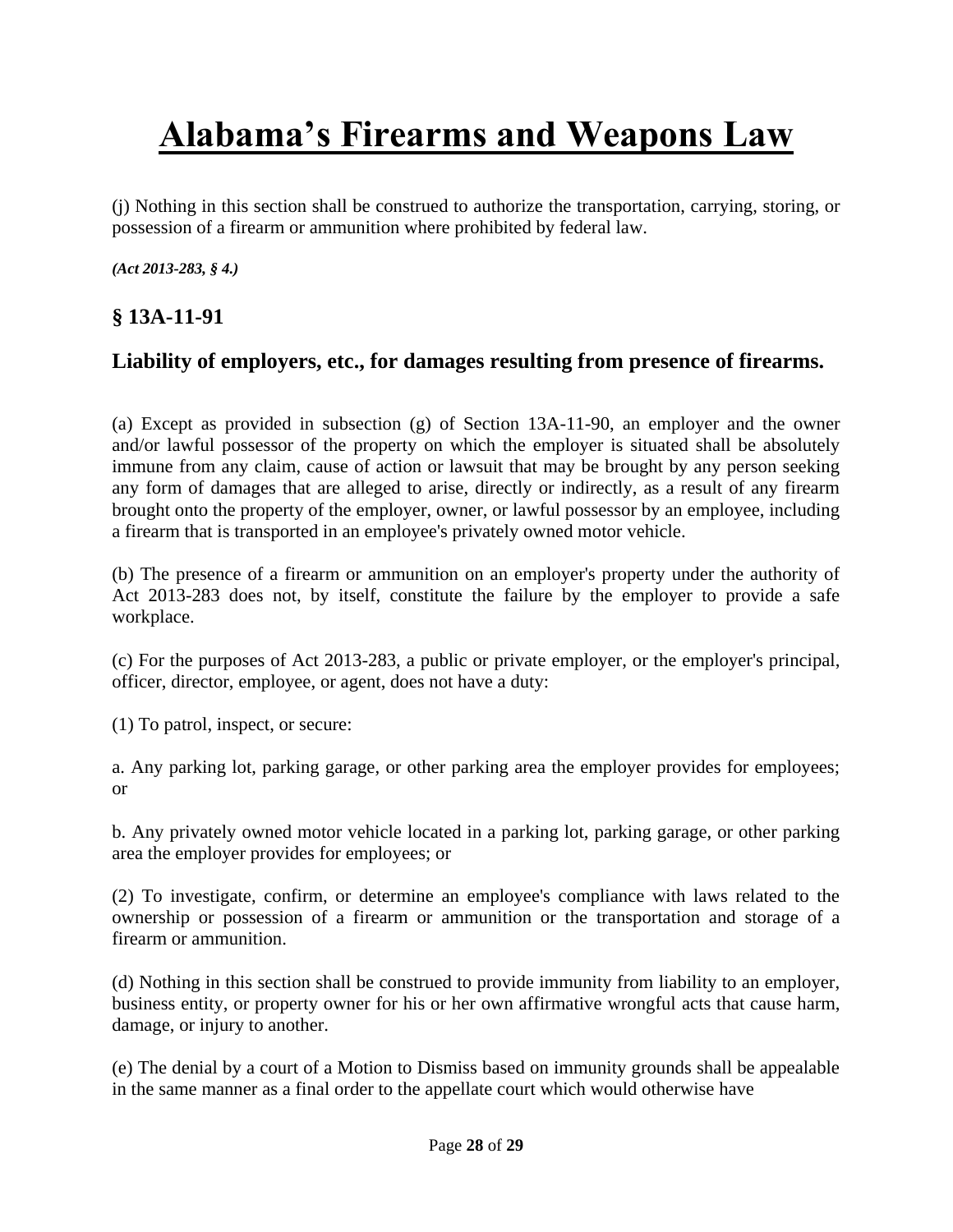(j) Nothing in this section shall be construed to authorize the transportation, carrying, storing, or possession of a firearm or ammunition where prohibited by federal law.

*[\(Act 2013-283, § 4.\)](http://web2.westlaw.com/find/default.wl?mt=Alabama&db=1077005&rs=WLW13.10&docname=UUID(IEC7F5F00C9-3B11E2A8D28-BF312CA3A38)&rp=%2ffind%2fdefault.wl&findtype=l&ordoc=985370053&tc=-1&vr=2.0&fn=_top&sv=Split&tf=-1&pbc=F03EB4A7&utid=1)*

## **§ 13A-11-91**

### **Liability of employers, etc., for damages resulting from presence of firearms.**

(a) Except as provided in subsection (g) of Section 13A-11-90, an employer and the owner and/or lawful possessor of the property on which the employer is situated shall be absolutely immune from any claim, cause of action or lawsuit that may be brought by any person seeking any form of damages that are alleged to arise, directly or indirectly, as a result of any firearm brought onto the property of the employer, owner, or lawful possessor by an employee, including a firearm that is transported in an employee's privately owned motor vehicle.

(b) The presence of a firearm or ammunition on an employer's property under the authority of Act 2013-283 does not, by itself, constitute the failure by the employer to provide a safe workplace.

(c) For the purposes of Act 2013-283, a public or private employer, or the employer's principal, officer, director, employee, or agent, does not have a duty:

(1) To patrol, inspect, or secure:

a. Any parking lot, parking garage, or other parking area the employer provides for employees; or

b. Any privately owned motor vehicle located in a parking lot, parking garage, or other parking area the employer provides for employees; or

(2) To investigate, confirm, or determine an employee's compliance with laws related to the ownership or possession of a firearm or ammunition or the transportation and storage of a firearm or ammunition.

(d) Nothing in this section shall be construed to provide immunity from liability to an employer, business entity, or property owner for his or her own affirmative wrongful acts that cause harm, damage, or injury to another.

(e) The denial by a court of a Motion to Dismiss based on immunity grounds shall be appealable in the same manner as a final order to the appellate court which would otherwise have